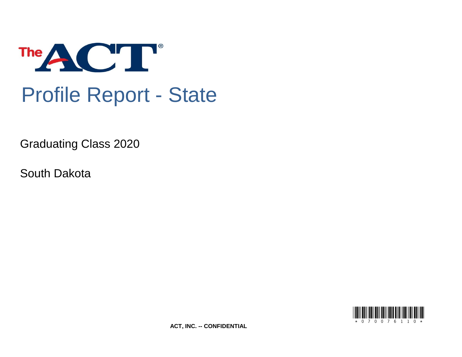

Graduating Class 2020

South Dakota

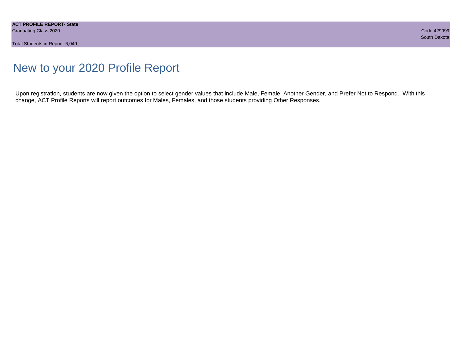### New to your 2020 Profile Report

Upon registration, students are now given the option to select gender values that include Male, Female, Another Gender, and Prefer Not to Respond. With this change, ACT Profile Reports will report outcomes for Males, Females, and those students providing Other Responses.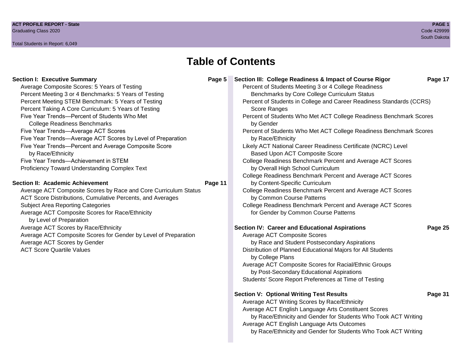### **Table of Contents**

| <b>Section I: Executive Summary</b>                             | Page 5  | Section III: College Readiness & Impact of Course Rigor                         | Page 17 |
|-----------------------------------------------------------------|---------|---------------------------------------------------------------------------------|---------|
| Average Composite Scores: 5 Years of Testing                    |         | Percent of Students Meeting 3 or 4 College Readiness                            |         |
| Percent Meeting 3 or 4 Benchmarks: 5 Years of Testing           |         | Benchmarks by Core College Curriculum Status                                    |         |
| Percent Meeting STEM Benchmark: 5 Years of Testing              |         | Percent of Students in College and Career Readiness Standards (CCRS)            |         |
| Percent Taking A Core Curriculum: 5 Years of Testing            |         | Score Ranges                                                                    |         |
| Five Year Trends--Percent of Students Who Met                   |         | Percent of Students Who Met ACT College Readiness Benchmark Scores              |         |
| <b>College Readiness Benchmarks</b>                             |         | by Gender                                                                       |         |
| Five Year Trends-Average ACT Scores                             |         | Percent of Students Who Met ACT College Readiness Benchmark Scores              |         |
| Five Year Trends-Average ACT Scores by Level of Preparation     |         | by Race/Ethnicity                                                               |         |
| Five Year Trends-Percent and Average Composite Score            |         | Likely ACT National Career Readiness Certificate (NCRC) Level                   |         |
| by Race/Ethnicity                                               |         | Based Upon ACT Composite Score                                                  |         |
| Five Year Trends-Achievement in STEM                            |         | College Readiness Benchmark Percent and Average ACT Scores                      |         |
| Proficiency Toward Understanding Complex Text                   |         | by Overall High School Curriculum                                               |         |
|                                                                 |         | College Readiness Benchmark Percent and Average ACT Scores                      |         |
| <b>Section II: Academic Achievement</b>                         | Page 11 | by Content-Specific Curriculum                                                  |         |
| Average ACT Composite Scores by Race and Core Curriculum Status |         | College Readiness Benchmark Percent and Average ACT Scores                      |         |
| ACT Score Distributions, Cumulative Percents, and Averages      |         | by Common Course Patterns                                                       |         |
| <b>Subject Area Reporting Categories</b>                        |         | College Readiness Benchmark Percent and Average ACT Scores                      |         |
| Average ACT Composite Scores for Race/Ethnicity                 |         | for Gender by Common Course Patterns                                            |         |
| by Level of Preparation                                         |         |                                                                                 |         |
| Average ACT Scores by Race/Ethnicity                            |         | Section IV: Career and Educational Aspirations                                  | Page 25 |
| Average ACT Composite Scores for Gender by Level of Preparation |         | Average ACT Composite Scores                                                    |         |
| Average ACT Scores by Gender                                    |         | by Race and Student Postsecondary Aspirations                                   |         |
| <b>ACT Score Quartile Values</b>                                |         | Distribution of Planned Educational Majors for All Students<br>by College Plans |         |
|                                                                 |         | Average ACT Composite Scores for Racial/Ethnic Groups                           |         |
|                                                                 |         | by Post-Secondary Educational Aspirations                                       |         |
|                                                                 |         | Students' Score Report Preferences at Time of Testing                           |         |
|                                                                 |         | <b>Section V: Optional Writing Test Results</b>                                 | Page 31 |
|                                                                 |         | Average ACT Writing Scores by Race/Ethnicity                                    |         |
|                                                                 |         | Average ACT English Language Arts Constituent Scores                            |         |
|                                                                 |         | by Race/Ethnicity and Gender for Students Who Took ACT Writing                  |         |
|                                                                 |         | Average ACT English Language Arts Outcomes                                      |         |

by Race/Ethnicity and Gender for Students Who Took ACT Writing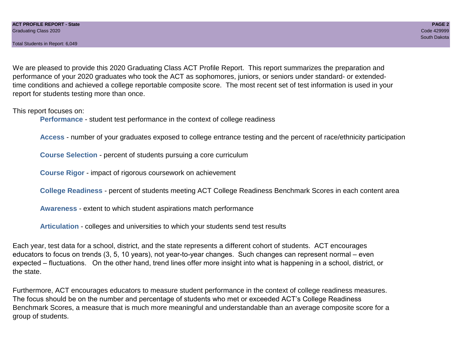We are pleased to provide this 2020 Graduating Class ACT Profile Report. This report summarizes the preparation and performance of your 2020 graduates who took the ACT as sophomores, juniors, or seniors under standard- or extendedtime conditions and achieved a college reportable composite score. The most recent set of test information is used in your report for students testing more than once.

This report focuses on:

**Performance** - student test performance in the context of college readiness

**Access** - number of your graduates exposed to college entrance testing and the percent of race/ethnicity participation

**Course Selection** - percent of students pursuing a core curriculum

**Course Rigor** - impact of rigorous coursework on achievement

**College Readiness** - percent of students meeting ACT College Readiness Benchmark Scores in each content area

**Awareness** - extent to which student aspirations match performance

**Articulation** - colleges and universities to which your students send test results

Each year, test data for a school, district, and the state represents a different cohort of students. ACT encourages educators to focus on trends (3, 5, 10 years), not year-to-year changes. Such changes can represent normal – even expected – fluctuations. On the other hand, trend lines offer more insight into what is happening in a school, district, or the state.

Furthermore, ACT encourages educators to measure student performance in the context of college readiness measures. The focus should be on the number and percentage of students who met or exceeded ACT's College Readiness Benchmark Scores, a measure that is much more meaningful and understandable than an average composite score for a group of students.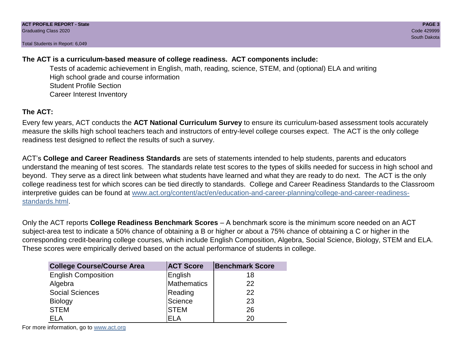#### **The ACT is a curriculum-based measure of college readiness. ACT components include:**

Tests of academic achievement in English, math, reading, science, STEM, and (optional) ELA and writing High school grade and course information Student Profile Section Career Interest Inventory

#### **The ACT:**

Every few years, ACT conducts the **ACT National Curriculum Survey** to ensure its curriculum-based assessment tools accurately measure the skills high school teachers teach and instructors of entry-level college courses expect. The ACT is the only college readiness test designed to reflect the results of such a survey.

ACT's **College and Career Readiness Standards** are sets of statements intended to help students, parents and educators understand the meaning of test scores. The standards relate test scores to the types of skills needed for success in high school and beyond. They serve as a direct link between what students have learned and what they are ready to do next. The ACT is the only college readiness test for which scores can be tied directly to standards. College and Career Readiness Standards to the Classroom interpretive guides can be found at www.act.org/content/act/en/education-and-career-planning/college-and-career-readinessstandards.html.

Only the ACT reports **College Readiness Benchmark Scores** – A benchmark score is the minimum score needed on an ACT subject-area test to indicate a 50% chance of obtaining a B or higher or about a 75% chance of obtaining a C or higher in the corresponding credit-bearing college courses, which include English Composition, Algebra, Social Science, Biology, STEM and ELA. These scores were empirically derived based on the actual performance of students in college.

| <b>College Course/Course Area</b> | <b>ACT Score</b> | <b>Benchmark Score</b> |
|-----------------------------------|------------------|------------------------|
| <b>English Composition</b>        | English          | 18                     |
| Algebra                           | Mathematics      | 22                     |
| <b>Social Sciences</b>            | Reading          | 22                     |
| <b>Biology</b>                    | Science          | 23                     |
| <b>STEM</b>                       | <b>STEM</b>      | 26                     |
| FI A                              | ELA              | 20                     |

For more information, go to www.act.org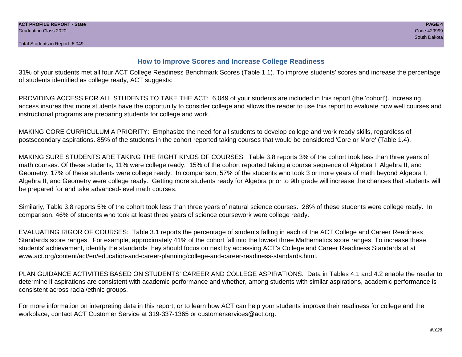#### **How to Improve Scores and Increase College Readiness**

31% of your students met all four ACT College Readiness Benchmark Scores (Table 1.1). To improve students' scores and increase the percentage of students identified as college ready, ACT suggests:

PROVIDING ACCESS FOR ALL STUDENTS TO TAKE THE ACT: 6,049 of your students are included in this report (the 'cohort'). Increasing access insures that more students have the opportunity to consider college and allows the reader to use this report to evaluate how well courses and instructional programs are preparing students for college and work.

MAKING CORE CURRICULUM A PRIORITY: Emphasize the need for all students to develop college and work ready skills, regardless of postsecondary aspirations. 85% of the students in the cohort reported taking courses that would be considered 'Core or More' (Table 1.4).

MAKING SURE STUDENTS ARE TAKING THE RIGHT KINDS OF COURSES: Table 3.8 reports 3% of the cohort took less than three years of math courses. Of these students, 11% were college ready. 15% of the cohort reported taking a course sequence of Algebra I, Algebra II, and Geometry. 17% of these students were college ready. In comparison, 57% of the students who took 3 or more years of math beyond Algebra I, Algebra II, and Geometry were college ready. Getting more students ready for Algebra prior to 9th grade will increase the chances that students will be prepared for and take advanced-level math courses.

Similarly, Table 3.8 reports 5% of the cohort took less than three years of natural science courses. 28% of these students were college ready. In comparison, 46% of students who took at least three years of science coursework were college ready.

EVALUATING RIGOR OF COURSES: Table 3.1 reports the percentage of students falling in each of the ACT College and Career Readiness Standards score ranges. For example, approximately 41% of the cohort fall into the lowest three Mathematics score ranges. To increase these students' achievement, identify the standards they should focus on next by accessing ACT's College and Career Readiness Standards at at www.act.org/content/act/en/education-and-career-planning/college-and-career-readiness-standards.html.

PLAN GUIDANCE ACTIVITIES BASED ON STUDENTS' CAREER AND COLLEGE ASPIRATIONS: Data in Tables 4.1 and 4.2 enable the reader to determine if aspirations are consistent with academic performance and whether, among students with similar aspirations, academic performance is consistent across racial/ethnic groups.

For more information on interpreting data in this report, or to learn how ACT can help your students improve their readiness for college and the workplace, contact ACT Customer Service at 319-337-1365 or customerservices@act.org.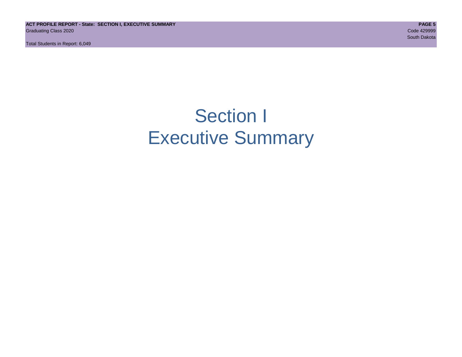# Section I Executive Summary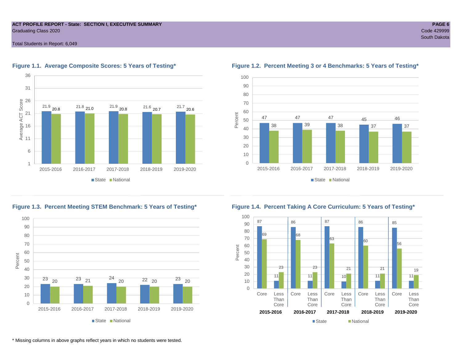#### **ACT PROFILE REPORT - State: SECTION I, EXECUTIVE SUMMARY PAGE 6** Graduating Class 2020 Code 429999

#### Total Students in Report: 6,049



#### **Figure 1.1. Average Composite Scores: 5 Years of Testing\* Figure 1.2. Percent Meeting 3 or 4 Benchmarks: 5 Years of Testing\***



#### **Figure 1.3. Percent Meeting STEM Benchmark: 5 Years of Testing\* Figure 1.4. Percent Taking A Core Curriculum: 5 Years of Testing\***



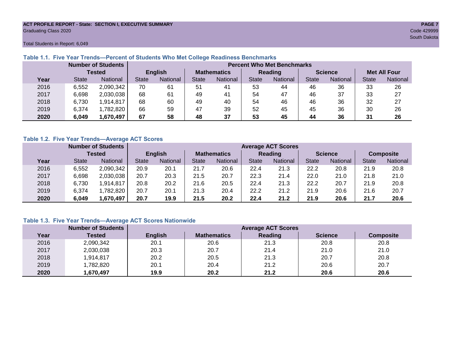#### **ACT PROFILE REPORT - State: SECTION I, EXECUTIVE SUMMARY PAGE 7**

Code 429999 Code 429999 Code 429999 Code 429999 Code 429999 Code 429999 Code 429999 Code 429999 Code 429999 Code 429999 Code 429999 Code 429999 Code 429999 Code 429999 Code 429999 Code 429999 Code 429999 Code 429999 Code 4

Total Students in Report: 6,049

#### **Table 1.1. Five Year Trends—Percent of Students Who Met College Readiness Benchmarks**

|      |              | <b>Number of Students</b> |              | <b>Percent Who Met Benchmarks</b> |       |                    |              |          |              |                |                     |          |  |  |
|------|--------------|---------------------------|--------------|-----------------------------------|-------|--------------------|--------------|----------|--------------|----------------|---------------------|----------|--|--|
|      |              | Tested                    |              | <b>English</b>                    |       | <b>Mathematics</b> |              | Reading  |              | <b>Science</b> | <b>Met All Four</b> |          |  |  |
| Year | <b>State</b> | National                  | <b>State</b> | National                          | State | <b>National</b>    | <b>State</b> | National | <b>State</b> | National       | <b>State</b>        | National |  |  |
| 2016 | 6,552        | 2,090,342                 | 70           | 61                                | 51    | 41                 | 53           | 44       | 46           | 36             | 33                  | 26       |  |  |
| 2017 | 6,698        | 2,030,038                 | 68           | 61                                | 49    | 41                 | 54           | 47       | 46           | 37             | 33                  | 27       |  |  |
| 2018 | 6,730        | 1,914,817                 | 68           | 60                                | 49    | 40                 | 54           | 46       | 46           | 36             | 32                  | 27       |  |  |
| 2019 | 6,374        | 1,782,820                 | 66           | 59                                | 47    | 39                 | 52           | 45       | 45           | 36             | 30                  | 26       |  |  |
| 2020 | 6,049        | 1,670,497                 | 67           | 58                                | 48    | 37                 | 53           | 45       | 44           | 36             | 31                  | 26       |  |  |

#### **Table 1.2. Five Year Trends—Average ACT Scores**

|      |              | <b>Number of Students</b> |              |                | <b>Average ACT Scores</b> |                    |       |                 |              |                |                  |          |  |  |  |
|------|--------------|---------------------------|--------------|----------------|---------------------------|--------------------|-------|-----------------|--------------|----------------|------------------|----------|--|--|--|
|      |              | Tested                    |              | <b>English</b> |                           | <b>Mathematics</b> |       | <b>Reading</b>  |              | <b>Science</b> | <b>Composite</b> |          |  |  |  |
| Year | <b>State</b> | <b>National</b>           | <b>State</b> | National       | <b>State</b>              | National           | State | <b>National</b> | <b>State</b> | National       | <b>State</b>     | National |  |  |  |
| 2016 | 6,552        | 2,090,342                 | 20.9         | 20.1           | 21.7                      | 20.6               | 22.4  | 21.3            | 22.2         | 20.8           | 21.9             | 20.8     |  |  |  |
| 2017 | 6,698        | 2,030,038                 | 20.7         | 20.3           | 21.5                      | 20.7               | 22.3  | 21.4            | 22.0         | 21.0           | 21.8             | 21.0     |  |  |  |
| 2018 | 6,730        | 1,914,817                 | 20.8         | 20.2           | 21.6                      | 20.5               | 22.4  | 21.3            | 22.2         | 20.7           | 21.9             | 20.8     |  |  |  |
| 2019 | 6,374        | ,782,820                  | 20.7         | 20.1           | 21.3                      | 20.4               | 22.2  | 21.2            | 21.9         | 20.6           | 21.6             | 20.7     |  |  |  |
| 2020 | 6,049        | 1,670,497                 | 20.7         | 19.9           | 21.5                      | 20.2               | 22.4  | 21.2            | 21.9         | 20.6           | 21.7             | 20.6     |  |  |  |

#### **Table 1.3. Five Year Trends—Average ACT Scores Nationwide**

|      | <b>Number of Students</b> |                |                    | <b>Average ACT Scores</b> |                |                  |
|------|---------------------------|----------------|--------------------|---------------------------|----------------|------------------|
| Year | Tested                    | <b>English</b> | <b>Mathematics</b> | <b>Reading</b>            | <b>Science</b> | <b>Composite</b> |
| 2016 | 2,090,342                 | 20.1           | 20.6               | 21.3                      | 20.8           | 20.8             |
| 2017 | 2,030,038                 | 20.3           | 20.7               | 21.4                      | 21.0           | 21.0             |
| 2018 | 1,914,817                 | 20.2           | 20.5               | 21.3                      | 20.7           | 20.8             |
| 2019 | 1,782,820                 | 20.1           | 20.4               | 21.2                      | 20.6           | 20.7             |
| 2020 | 1,670,497                 | 19.9           | 20.2               | 21.2                      | 20.6           | 20.6             |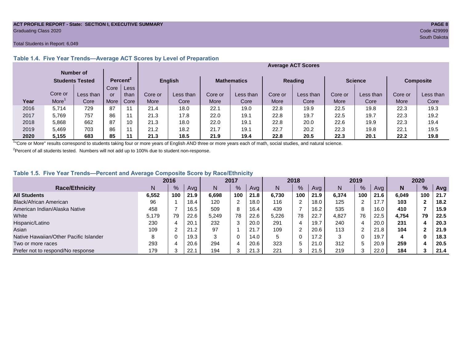#### **ACT PROFILE REPORT - State: SECTION I, EXECUTIVE SUMMARY PAGE 8** Graduating Class 2020 Code 429999

#### Total Students in Report: 6,049

|      |         |                        |      |                      |         |                |         |                    |         | <b>Average ACT Scores</b> |             |                |         |                  |
|------|---------|------------------------|------|----------------------|---------|----------------|---------|--------------------|---------|---------------------------|-------------|----------------|---------|------------------|
|      |         | Number of              |      |                      |         |                |         |                    |         |                           |             |                |         |                  |
|      |         | <b>Students Tested</b> |      | Percent <sup>2</sup> |         | <b>English</b> |         | <b>Mathematics</b> |         | <b>Reading</b>            |             | <b>Science</b> |         | <b>Composite</b> |
|      |         |                        | Core | Less                 |         |                |         |                    |         |                           |             |                |         |                  |
|      | Core or | Less than              | or   | than                 | Core or | Less than      | Core or | Less than          | Core or | Less than                 | Core or     | Less than      | Core or | Less than        |
| Year | More    | Core                   | More | Core                 | More    | Core           | More    | Core               | More    | Core                      | <b>More</b> | Core           | More    | Core             |
| 2016 | 5,714   | 729                    | 87   | 11                   | 21.4    | 18.0           | 22.1    | 19.0               | 22.8    | 19.9                      | 22.5        | 19.8           | 22.3    | 19.3             |
| 2017 | 5,769   | 757                    | 86   | 11                   | 21.3    | 17.8           | 22.0    | 19.1               | 22.8    | 19.7                      | 22.5        | 19.7           | 22.3    | 19.2             |
| 2018 | 5,868   | 662                    | 87   | 10                   | 21.3    | 18.0           | 22.0    | 19.1               | 22.8    | 20.0                      | 22.6        | 19.9           | 22.3    | 19.4             |
| 2019 | 5,469   | 703                    | 86   | 11                   | 21.2    | 18.2           | 21.7    | 19.1               | 22.7    | 20.2                      | 22.3        | 19.8           | 22.1    | 19.5             |
| 2020 | 5,155   | 683                    | 85   | 11                   | 21.3    | 18.5           | 21.9    | 19.4               | 22.8    | 20.5                      | 22.3        | 20.1           | 22.2    | 19.8             |

#### **Table 1.4. Five Year Trends—Average ACT Scores by Level of Preparation**

<sup>1</sup>"Core or More" results correspond to students taking four or more years of English AND three or more years each of math, social studies, and natural science.

 $2$ Percent of all students tested. Numbers will not add up to 100% due to student non-response.

#### **Table 1.5. Five Year Trends—Percent and Average Composite Score by Race/Ethnicity**

|                                        |       | 2016 |      |       | 2017 |                   |       | 2018   |      |       | 2019           |      |       | 2020 |      |
|----------------------------------------|-------|------|------|-------|------|-------------------|-------|--------|------|-------|----------------|------|-------|------|------|
| <b>Race/Ethnicity</b>                  | N     | %    | Avg  | N     | %    | Avg               | N     | %      | Avg  | N     | %              | Avg  | N     | $\%$ | Avg  |
| <b>All Students</b>                    | 6.552 | 100  | 21.9 | 6,698 | 100  | 21.8              | 6.730 | 100    | 21.9 | 6.374 | 100            | 21.6 | 6.049 | 100  | 21.7 |
| <b>Black/African American</b>          | 96    |      | 18.4 | 120   |      | 18.0              | 116   |        | 18.0 | 125   | $\overline{2}$ | 17.7 | 103   |      | 18.2 |
| American Indian/Alaska Native          | 458   |      | 16.5 | 509   |      | 16.4 <sub>1</sub> | 439   |        | 16.2 | 535   | 8              | 16.0 | 410   |      | 15.9 |
| White                                  | 5.179 | 79   | 22.6 | 5,249 | 78   | 22.6              | 5.226 | 78     | 22.7 | 4.827 | 76             | 22.5 | 4.754 | 79   | 22.5 |
| Hispanic/Latino                        | 230   |      | 20.1 | 232   |      | 20.0              | 291   | 4      | 19.7 | 240   | 4              | 20.0 | 231   |      | 20.3 |
| Asian                                  | 109   | ົ    | 21.2 | 97    |      | 21.7              | 109   | റ      | 20.6 | 113   | ົ              | 21.8 | 104   |      | 21.9 |
| Native Hawaiian/Other Pacific Islander | 8     | 0    | 19.3 |       |      | 14.0              | 5     |        | 17.2 | 3     | 0              | 19.7 | 4     |      | 18.3 |
| Two or more races                      | 293   |      | 20.6 | 294   |      | 20.6              | 323   | .5     | 21.0 | 312   | 5              | 20.9 | 259   |      | 20.5 |
| Prefer not to respond/No response      | 179   | 3    | 22.1 | 194   |      | 21.3              | 221   | $\sim$ | 21.5 | 219   | 3              | 22.0 | 184   |      | 21.4 |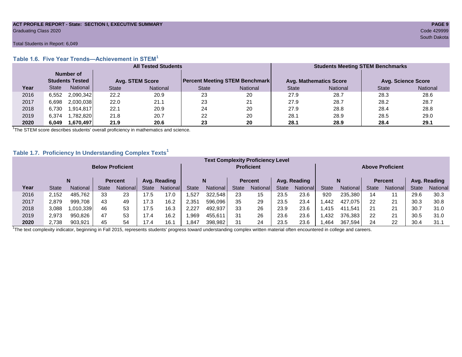#### **ACT PROFILE REPORT - State: SECTION I, EXECUTIVE SUMMARY PAGE 9** Code 429999 Craduating Class 2020 Code 429999

#### Total Students in Report: 6,049

#### **Table 1.6. Five Year Trends—Achievement in STEM<sup>1</sup>**

|      |       |                        |       | <b>All Tested Students</b> |       |                                       |              |                               | <b>Students Meeting STEM Benchmarks</b> |                           |  |
|------|-------|------------------------|-------|----------------------------|-------|---------------------------------------|--------------|-------------------------------|-----------------------------------------|---------------------------|--|
|      |       | <b>Number of</b>       |       |                            |       |                                       |              |                               |                                         |                           |  |
|      |       | <b>Students Tested</b> |       | <b>Avg. STEM Score</b>     |       | <b>Percent Meeting STEM Benchmark</b> |              | <b>Avg. Mathematics Score</b> |                                         | <b>Avg. Science Score</b> |  |
| Year | State | National               | State | National                   | State | <b>National</b>                       | <b>State</b> | <b>National</b>               | State                                   | National                  |  |
| 2016 | 6,552 | 2,090,342              | 22.2  | 20.9                       | 23    | 20                                    | 27.9         | 28.7                          | 28.3                                    | 28.6                      |  |
| 2017 | 6.698 | 2,030,038              | 22.0  | 21.1                       | 23    | 21                                    | 27.9         | 28.7                          | 28.2                                    | 28.7                      |  |
| 2018 | 6.730 | 1,914,817              | 22.1  | 20.9                       | 24    | 20                                    | 27.9         | 28.8                          | 28.4                                    | 28.8                      |  |
| 2019 | 6.374 | 1.782.820              | 21.8  | 20.7                       | 22    | 20                                    | 28.1         | 28.9                          | 28.5                                    | 29.0                      |  |
| 2020 | 6.049 | 1.670.497              | 21.9  | 20.6                       | 23    | 20                                    | 28.1         | 28.9                          | 28.4                                    | 29.1                      |  |

<sup>1</sup>The STEM score describes students' overall proficiency in mathematics and science.

#### **Table 1.7. Proficiency In Understanding Complex Texts<sup>1</sup>**

|      |              |                 |       |                         |              |              |              |          |              | <b>Text Complexity Proficiency Level</b> |              |              |              |          |              |                         |              |              |
|------|--------------|-----------------|-------|-------------------------|--------------|--------------|--------------|----------|--------------|------------------------------------------|--------------|--------------|--------------|----------|--------------|-------------------------|--------------|--------------|
|      |              |                 |       | <b>Below Proficient</b> |              |              |              |          |              | <b>Proficient</b>                        |              |              |              |          |              | <b>Above Proficient</b> |              |              |
|      |              | N               |       | Percent                 |              | Avg. Reading |              |          |              | <b>Percent</b>                           |              | Avg. Reading |              | N        |              | <b>Percent</b>          |              | Avg. Reading |
| Year | <b>State</b> | <b>National</b> | State | National                | <b>State</b> | National     | <b>State</b> | National | <b>State</b> | National                                 | <b>State</b> | National     | <b>State</b> | National | <b>State</b> | National                | <b>State</b> | National     |
| 2016 | 2,152        | 485,762         | 33    | 23                      | 17.5         | 17.0         | .527         | 322,548  | 23           | 15                                       | 23.5         | 23.6         | 920          | 235,380  | 14           | 11                      | 29.6         | 30.3         |
| 2017 | 2,879        | 999,708         | 43    | 49                      | 17.3         | 16.2         | 2,351        | 596,096  | 35           | 29                                       | 23.5         | 23.4         | .442         | 427,075  | 22           | 21                      | 30.3         | 30.8         |
| 2018 | 3,088        | 1,010,339       | 46    | 53                      | 17.5         | 16.3         | 2.227        | 492,937  | 33           | 26                                       | 23.9         | 23.6         | 415. ا       | 411,541  | 21           | 21                      | 30.7         | 31.0         |
| 2019 | 2,973        | 950,826         | 47    | 53                      | 17.4         | 16.2         | .969         | 455,61   | 31           | 26                                       | 23.6         | 23.6         | ,432         | 376,383  | 22           | 21                      | 30.5         | 31.0         |
| 2020 | 2.738        | 903,921         | 45    | 54                      | 17.4         | 16.1         | ,847         | 398,982  | 31           | 24                                       | 23.5         | 23.6         | .464         | 367,594  | 24           | 22                      | 30.4         | 31.7         |

<sup>1</sup>The text complexity indicator, beginning in Fall 2015, represents students' progress toward understanding complex written material often encountered in college and careers.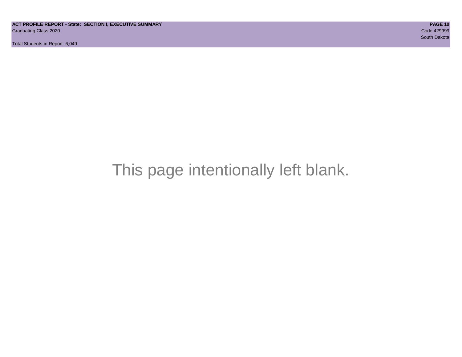**ACT PROFILE REPORT - State: SECTION I, EXECUTIVE SUMMARY PAGE 10** Graduating Class 2020 Code 429999

Total Students in Report: 6,049

### This page intentionally left blank.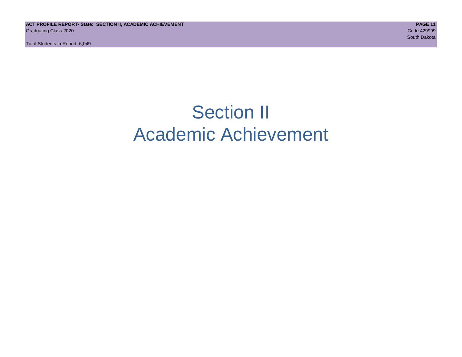# Section II Academic Achievement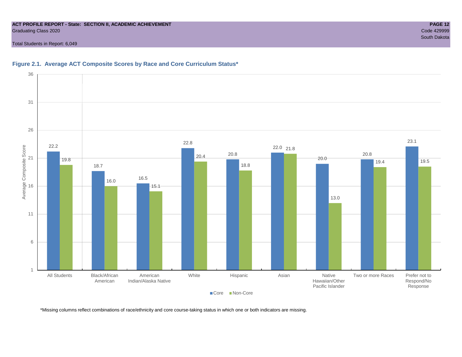#### **ACT PROFILE REPORT - State: SECTION II, ACADEMIC ACHIEVEMENT PAGE 12** Graduating Class 2020 Code 429999

South Dakota

Total Students in Report: 6,049



#### **Figure 2.1. Average ACT Composite Scores by Race and Core Curriculum Status\***

■Core ■Non-Core

\*Missing columns reflect combinations of race/ethnicity and core course-taking status in which one or both indicators are missing.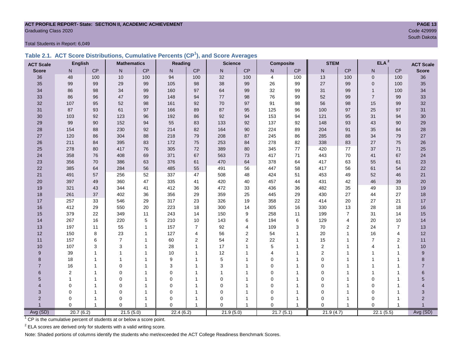#### **ACT PROFILE REPORT- State: SECTION II, ACADEMIC ACHIEVEMENT PAGE 13** Code 429999 Craduating Class 2020

 South Dakota Total Students in Report: 6,049

#### **Table 2.1. ACT Score Distributions, Cumulative Percents (CP<sup>1</sup> ), and Score Averages**

| <b>ACT Scale</b> | <b>English</b> |              | <b>Mathematics</b> |              | <b>Reading</b> |                | <b>Science</b> |                | <b>Composite</b> |                | <b>STEM</b>             |                | ELA <sup>2</sup> |                | <b>ACT Scale</b>        |
|------------------|----------------|--------------|--------------------|--------------|----------------|----------------|----------------|----------------|------------------|----------------|-------------------------|----------------|------------------|----------------|-------------------------|
| <b>Score</b>     | N              | CP           | N                  | CP           | N              | <b>CP</b>      | N              | CP             | N.               | CP             | $\mathsf{N}$            | CP             | $\mathsf{N}$     | CP             | <b>Score</b>            |
| 36               | 48             | 100          | 10                 | 100          | 94             | 100            | 32             | 100            | 4                | 100            | 13                      | 100            | $\mathbf{0}$     | 100            | 36                      |
| 35               | 99             | 99           | 29                 | 99           | 105            | 98             | 38             | 99             | 26               | 99             | 27                      | 99             | $\mathbf 0$      | 100            | 35                      |
| 34               | 86             | 98           | 34                 | 99           | 160            | 97             | 64             | 99             | 32               | 99             | 31                      | 99             | $\mathbf{1}$     | 100            | 34                      |
| 33               | 86             | 96           | 47                 | 99           | 148            | 94             | 77             | 98             | 76               | 99             | 52                      | 99             | $\overline{7}$   | 99             | 33                      |
| 32               | 107            | 95           | 52                 | 98           | 161            | 92             | $70\,$         | 97             | 91               | 98             | 56                      | 98             | 15               | 99             | 32                      |
| 31               | 87             | 93           | 61                 | 97           | 166            | 89             | 87             | 95             | 125              | 96             | 100                     | 97             | 25               | 97             | 31                      |
| 30               | 103            | 92           | 123                | 96           | 192            | 86             | 92             | 94             | 153              | 94             | 121                     | 95             | 31               | 94             | $30\,$                  |
| 29               | 99             | 90           | 152                | 94           | 55             | 83             | 133            | 92             | 137              | 92             | 148                     | 93             | 43               | 90             | $29\,$                  |
| 28               | 154            | 88           | 230                | 92           | 214            | 82             | 164            | 90             | 224              | 89             | 204                     | 91             | 35               | 84             | 28                      |
| 27               | 120            | 86           | 304                | 88           | 218            | 79             | 208            | 87             | 245              | 86             | 285                     | 88             | 34               | 79             | 27                      |
| 26               | 211            | 84           | 395                | 83           | 172            | 75             | 253            | 84             | 278              | 82             | 338                     | 83             | 27               | 75             | $26\,$                  |
| 25               | 278            | 80           | 417                | 76           | 305            | 72             | 389            | 80             | 345              | 77             | 420                     | 77             | 37               | 71             | 25                      |
| 24               | 358            | 76           | 408                | 69           | 371            | 67             | 563            | 73             | 417              | 71             | 443                     | 70             | 41               | 67             | 24                      |
| 23               | 356            | 70           | 386                | 63           | 376            | 61             | 470            | 64             | 378              | 64             | 417                     | 63             | 55               | 61             | 23                      |
| 22               | 385            | 64           | 284                | 56           | 485            | 55             | 491            | 56             | 447              | 58             | 417                     | 56             | 61               | 54             | 22                      |
| 21               | 491            | 57           | 256                | 52           | 337            | 47             | 508            | 48             | 424              | 51             | 453                     | 49             | 52               | 46             | 21                      |
| 20               | 397            | 49           | 360                | 47           | 335            | 41             | 420            | 40             | 457              | 44             | 431                     | 42             | 46               | 39             | 20                      |
| 19               | 321            | 43           | 344                | 41           | 412            | 36             | 472            | 33             | 436              | 36             | 482                     | 35             | 49               | 33             | 19                      |
| 18               | 261            | 37           | 402                | 36           | 356            | 29             | 359            | 25             | 445              | 29             | 430                     | 27             | 44               | 27             | $18$                    |
| 17               | 257            | 33           | 546                | 29           | 317            | 23             | 326            | 19             | 358              | 22             | 414                     | 20             | 27               | 21             | 17                      |
| 16               | 412            | 29           | 550                | 20           | 223            | 18             | 300            | 14             | 305              | 16             | 330                     | 13             | 28               | 18             | 16                      |
| 15               | 379            | 22           | 349                | 11           | 243            | 14             | 150            | 9              | 258              | 11             | 199                     | $\overline{7}$ | 31               | 14             | 15                      |
| 14               | 267            | 16           | 220                | 5            | 210            | 10             | 143            | 6              | 194              | 6              | 129                     | $\overline{4}$ | 20               | 10             | 14                      |
| 13               | 197            | 11           | 55                 | $\mathbf{1}$ | 157            | $\overline{7}$ | 92             | 4              | 109              | 3              | 70                      | $\overline{2}$ | 24               | $\overline{7}$ | 13                      |
| 12               | 150            | 8            | 23                 | $\mathbf{1}$ | 127            | $\overline{4}$ | 56             | 2              | 54               | $\overline{1}$ | 20                      | $\mathbf{1}$   | 16               | $\overline{4}$ | 12                      |
| 11               | 157            | 6            | $\overline{7}$     | 1            | 60             | 2              | 54             | $\overline{2}$ | 22               | $\overline{1}$ | 15                      | 1              | $\overline{7}$   | $\overline{2}$ | 11                      |
| 10               | 107            | 3            | 3                  | 1            | 28             | $\mathbf{1}$   | 17             | 1              | 5                | $\mathbf 1$    | $\overline{\mathbf{c}}$ | $\mathbf{1}$   | $\overline{4}$   | $\overline{1}$ | $10$                    |
| 9                | 39             |              |                    | 1            | 10             | 1              | 12             | 1              | $\overline{4}$   | $\mathbf 1$    | $\boldsymbol{2}$        | $\mathbf{1}$   | 1                | 1              | $\boldsymbol{9}$        |
| 8                | 18             |              |                    | 1            | 9              | 1              | 5              |                | $\mathbf 0$      | 1              | 0                       | 1              |                  | -1             | 8                       |
| $\overline{7}$   | $16$           |              | 0                  | 1            | 3              | $\mathbf{1}$   | 3              | 1              | $\mathbf 0$      | 1              | 0                       | $\mathbf{1}$   | 1                | 1              | $\boldsymbol{7}$        |
| 6                | 2              |              | $\mathbf 0$        | 1            | $\mathbf 0$    | $\mathbf{1}$   | $\overline{1}$ | 1              | 0                | $\mathbf 1$    | 0                       | $\mathbf{1}$   | $\overline{1}$   | 1              | $\,6$                   |
| 5                | $\mathbf{1}$   |              | 0                  | 1            | 0              | 1              | $\mathbf 0$    | 1              | $\mathbf 0$      | $\overline{1}$ | 0                       | 1              | $\mathbf 0$      | 1              | 5                       |
| 4                | $\mathbf 0$    |              | 0                  | 1            | 0              | 1              | 0              | 1              | $\mathbf 0$      | $\mathbf 1$    | 0                       | $\mathbf{1}$   | $\mathbf 0$      | -1             | $\overline{4}$          |
| 3                | $\mathbf 0$    |              | $\pmb{0}$          | 1            | $\mathbf 0$    | 1              | 0              | 1              | $\mathbf 0$      | $\overline{1}$ | $\mathbf 0$             | $\mathbf{1}$   | $\mathbf 0$      | 1              | 3                       |
| $\overline{2}$   | 0              | $\mathbf{1}$ | 0                  | $\mathbf{1}$ | $\mathbf 0$    | $\mathbf{1}$   | $\mathbf 0$    | 1              | $\mathbf 0$      | $\mathbf 1$    | 0                       | $\mathbf{1}$   | $\mathbf 0$      | 1              | $\overline{\mathbf{c}}$ |
|                  | $\Omega$       | -1           | $\Omega$           | 1            | $\Omega$       | $\mathbf{1}$   | $\Omega$       | $\mathbf{1}$   | $\Omega$         | 1              | $\Omega$                | $\mathbf{1}$   | $\Omega$         | 1              | $\overline{1}$          |
| Avg (SD)         | 20.7(6.2)      |              | 21.5(5.0)          |              | 22.4(6.2)      |                | 21.9(5.0)      |                | 21.7(5.1)        |                | 21.9(4.7)               |                | 22.1(5.5)        |                | Avg (SD)                |

CP is the cumulative percent of students at or below a score point.

ELA scores are derived only for students with a valid writing score.

Note: Shaded portions of columns identify the students who met/exceeded the ACT College Readiness Benchmark Scores.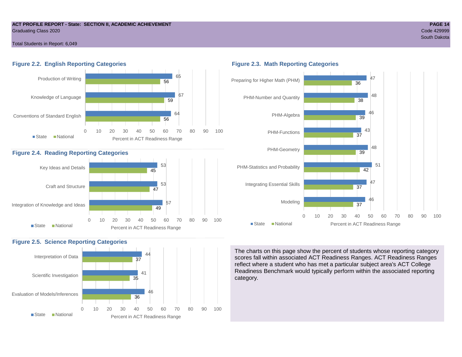#### **ACT PROFILE REPORT - State: SECTION II, ACADEMIC ACHIEVEMENT PAGE 14** Graduating Class 2020 Code 429999

#### Total Students in Report: 6,049



#### **Figure 2.4. Reading Reporting Categories**



#### **Figure 2.5. Science Reporting Categories**





The charts on this page show the percent of students whose reporting category scores fall within associated ACT Readiness Ranges. ACT Readiness Ranges reflect where a student who has met a particular subject area's ACT College Readiness Benchmark would typically perform within the associated reporting category.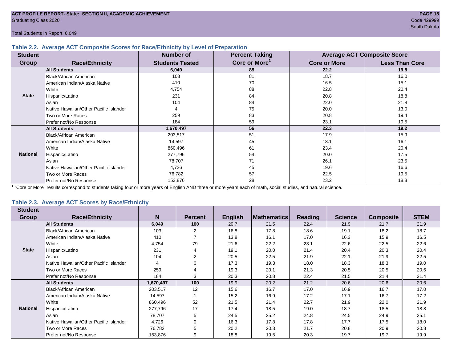#### **Table 2.2. Average ACT Composite Scores for Race/Ethnicity by Level of Preparation**

| <b>Student</b>  |                                        | <b>Number of</b>       | <b>Percent Taking</b>     |                     | <b>Average ACT Composite Score</b> |
|-----------------|----------------------------------------|------------------------|---------------------------|---------------------|------------------------------------|
| <b>Group</b>    | <b>Race/Ethnicity</b>                  | <b>Students Tested</b> | Core or More <sup>1</sup> | <b>Core or More</b> | <b>Less Than Core</b>              |
|                 | <b>All Students</b>                    | 6,049                  | 85                        | 22.2                | 19.8                               |
|                 | Black/African American                 | 103                    | 81                        | 18.7                | 16.0                               |
|                 | American Indian/Alaska Native          | 410                    | 70                        | 16.5                | 15.1                               |
|                 | White                                  | 4,754                  | 88                        | 22.8                | 20.4                               |
| <b>State</b>    | Hispanic/Latino                        | 231                    | 84                        | 20.8                | 18.8                               |
|                 | Asian                                  | 104                    | 84                        | 22.0                | 21.8                               |
|                 | Native Hawaiian/Other Pacific Islander |                        | 75                        | 20.0                | 13.0                               |
|                 | Two or More Races                      | 259                    | 83                        | 20.8                | 19.4                               |
|                 | Prefer not/No Response                 | 184                    | 59                        | 23.1                | 19.5                               |
|                 | <b>All Students</b>                    | 1,670,497              | 56                        | 22.3                | 19.2                               |
|                 | <b>Black/African American</b>          | 203,517                | 51                        | 17.9                | 15.9                               |
|                 | American Indian/Alaska Native          | 14,597                 | 45                        | 18.1                | 16.1                               |
|                 | White                                  | 860,496                | 61                        | 23.4                | 20.4                               |
| <b>National</b> | Hispanic/Latino                        | 277,796                | 54                        | 20.0                | 17.5                               |
|                 | Asian                                  | 78,707                 | 71                        | 26.1                | 23.5                               |
|                 | Native Hawaiian/Other Pacific Islander | 4,726                  | 45                        | 19.6                | 16.6                               |
|                 | Two or More Races                      | 76,782                 | 57                        | 22.5                | 19.5                               |
|                 | Prefer not/No Response                 | 153,876                | 28                        | 23.2                | 18.8                               |

<sup>1</sup> "Core or More" results correspond to students taking four or more years of English AND three or more years each of math, social studies, and natural science.

#### **Table 2.3. Average ACT Scores by Race/Ethnicity**

| <b>Student</b><br>Group | <b>Race/Ethnicity</b>                  | N         | <b>Percent</b> | <b>English</b> | <b>Mathematics</b> | <b>Reading</b> | <b>Science</b> | <b>Composite</b> | <b>STEM</b> |
|-------------------------|----------------------------------------|-----------|----------------|----------------|--------------------|----------------|----------------|------------------|-------------|
|                         | <b>All Students</b>                    | 6,049     | 100            | 20.7           | 21.5               | 22.4           | 21.9           | 21.7             | 21.9        |
|                         | Black/African American                 | 103       | 2              | 16.8           | 17.8               | 18.6           | 19.1           | 18.2             | 18.7        |
|                         | American Indian/Alaska Native          | 410       |                | 13.8           | 16.1               | 17.0           | 16.3           | 15.9             | 16.5        |
|                         | White                                  | 4,754     | 79             | 21.6           | 22.2               | 23.1           | 22.6           | 22.5             | 22.6        |
| <b>State</b>            | Hispanic/Latino                        | 231       | 4              | 19.1           | 20.0               | 21.4           | 20.4           | 20.3             | 20.4        |
|                         | Asian                                  | 104       | $\overline{2}$ | 20.5           | 22.5               | 21.9           | 22.1           | 21.9             | 22.5        |
|                         | Native Hawaiian/Other Pacific Islander |           | 0              | 17.3           | 19.3               | 18.0           | 18.3           | 18.3             | 19.0        |
|                         | Two or More Races                      | 259       |                | 19.3           | 20.1               | 21.3           | 20.5           | 20.5             | 20.6        |
|                         | Prefer not/No Response                 | 184       |                | 20.3           | 20.8               | 22.4           | 21.5           | 21.4             | 21.4        |
|                         | <b>All Students</b>                    | 1,670,497 | 100            | 19.9           | 20.2               | 21.2           | 20.6           | 20.6             | 20.6        |
|                         | Black/African American                 | 203,517   | 12             | 15.6           | 16.7               | 17.0           | 16.9           | 16.7             | 17.0        |
|                         | American Indian/Alaska Native          | 14,597    |                | 15.2           | 16.9               | 17.2           | 17.1           | 16.7             | 17.2        |
|                         | White                                  | 860,496   | 52             | 21.5           | 21.4               | 22.7           | 21.9           | 22.0             | 21.9        |
| <b>National</b>         | Hispanic/Latino                        | 277,796   | 17             | 17.4           | 18.5               | 19.0           | 18.7           | 18.5             | 18.8        |
|                         | Asian                                  | 78,707    | 5              | 24.5           | 25.2               | 24.8           | 24.5           | 24.9             | 25.1        |
|                         | Native Hawaiian/Other Pacific Islander | 4,726     | $\Omega$       | 16.3           | 17.8               | 17.8           | 17.7           | 17.5             | 18.0        |
|                         | Two or More Races                      | 76,782    | 5              | 20.2           | 20.3               | 21.7           | 20.8           | 20.9             | 20.8        |
|                         | Prefer not/No Response                 | 153,876   | 9              | 18.8           | 19.5               | 20.3           | 19.7           | 19.7             | 19.9        |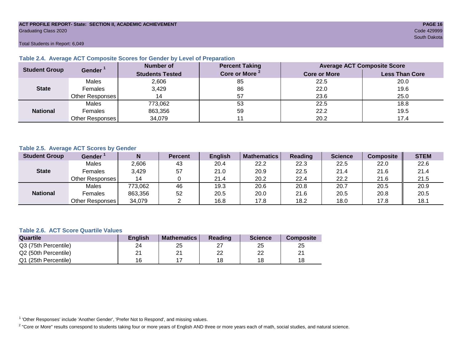#### **ACT PROFILE REPORT- State: SECTION II, ACADEMIC ACHIEVEMENT PAGE 16** Graduating Class 2020 Code 429999

#### Total Students in Report: 6,049

#### **Table 2.4. Average ACT Composite Scores for Gender by Level of Preparation**

| <b>Student Group</b> |                     | <b>Number of</b>       | <b>Percent Taking</b>                                                                                                           | <b>Average ACT Composite Score</b> |                       |  |  |  |
|----------------------|---------------------|------------------------|---------------------------------------------------------------------------------------------------------------------------------|------------------------------------|-----------------------|--|--|--|
|                      | Gender <sup>1</sup> | <b>Students Tested</b> | Core or More <sup>2</sup><br><b>Core or More</b><br>22.5<br>85<br>22.0<br>86<br>23.6<br>-57<br>53<br>22.5<br>22.2<br>59<br>20.2 |                                    | <b>Less Than Core</b> |  |  |  |
|                      | Males               | 2,606                  |                                                                                                                                 |                                    | 20.0                  |  |  |  |
| <b>State</b>         | Females             | 3,429                  |                                                                                                                                 |                                    | 19.6                  |  |  |  |
|                      | Other Responses     | 14                     |                                                                                                                                 |                                    | 25.0                  |  |  |  |
|                      | Males               | 773,062                |                                                                                                                                 |                                    | 18.8                  |  |  |  |
| <b>National</b>      | <b>Females</b>      | 863,356                |                                                                                                                                 |                                    | 19.5                  |  |  |  |
|                      | Other Responses     | 34,079                 |                                                                                                                                 |                                    | 17.4                  |  |  |  |

#### **Table 2.5. Average ACT Scores by Gender**

| <b>Student Group</b> | <b>Gender</b>     |         | <b>Percent</b> | <b>English</b> | <b>Mathematics</b> | <b>Reading</b> | <b>Science</b> | Composite | <b>STEM</b> |
|----------------------|-------------------|---------|----------------|----------------|--------------------|----------------|----------------|-----------|-------------|
|                      | Males             | 2,606   | 43             | 20.4           | 22.2               | 22.3           | 22.5           | 22.0      | 22.6        |
| <b>State</b>         | Females           | 3,429   | 57             | 21.0           | 20.9               | 22.5           | 21.4           | 21.6      | 21.4        |
|                      | Other Responses I | 14      |                | 21.4           | 20.2               | 22.4           | 22.2           | 21.6      | 21.5        |
|                      | Males             | 773,062 | 46             | 19.3           | 20.6               | 20.8           | 20.7           | 20.5      | 20.9        |
| <b>National</b>      | Females           | 863,356 | 52             | 20.5           | 20.0               | 21.6           | 20.5           | 20.8      | 20.5        |
|                      | Other Responses I | 34,079  |                | 16.8           | 17.8               | 18.2           | 18.0           | 17.8      | 18.1        |

#### **Table 2.6. ACT Score Quartile Values**

| Quartile             | <b>English</b> | <b>Mathematics</b> | <b>Reading</b> | Science | <b>Composite</b> |
|----------------------|----------------|--------------------|----------------|---------|------------------|
| Q3 (75th Percentile) | 24             | 25                 | ا ے            | 25      | 25               |
| Q2 (50th Percentile) | 21             | 21                 | 22             | 22      | 21               |
| Q1 (25th Percentile) | 16             |                    | 18             | 18      | 18               |

<sup>1</sup> 'Other Responses' include 'Another Gender', 'Prefer Not to Respond', and missing values.

<sup>2</sup> "Core or More" results correspond to students taking four or more years of English AND three or more years each of math, social studies, and natural science.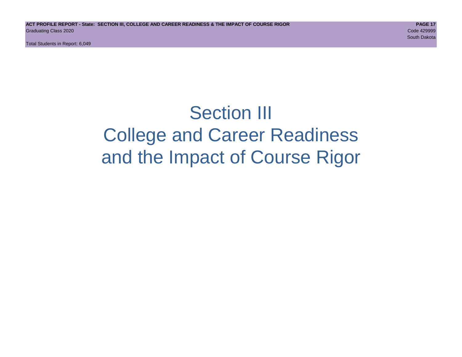Section III College and Career Readiness and the Impact of Course Rigor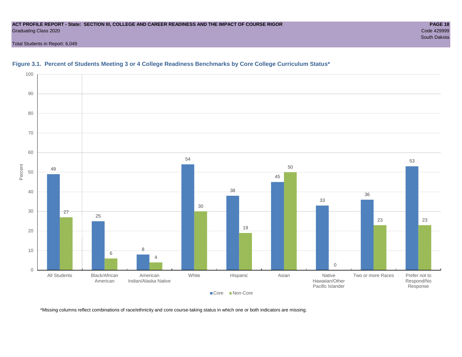#### **ACT PROFILE REPORT - State: SECTION III, COLLEGE AND CAREER READINESS AND THE IMPACT OF COURSE RIGOR PAGE 18** Graduating Class 2020 Code 429999

Total Students in Report: 6,049



#### **Figure 3.1. Percent of Students Meeting 3 or 4 College Readiness Benchmarks by Core College Curriculum Status\***

\*Missing columns reflect combinations of race/ethnicity and core course-taking status in which one or both indicators are missing.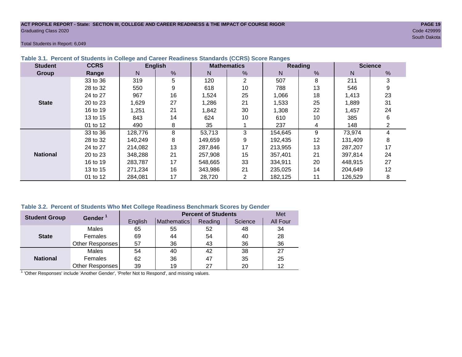#### **ACT PROFILE REPORT - State: SECTION III, COLLEGE AND CAREER READINESS & THE IMPACT OF COURSE RIGOR PAGE 19** Graduating Class 2020 Code 429999

#### Total Students in Report: 6,049

| <b>Student</b>  | <b>CCRS</b> |         | <b>English</b> |         | <b>Mathematics</b> |                                                                                                                                                                                                                                                                           |       | <b>Science</b>                                                 |    |  |
|-----------------|-------------|---------|----------------|---------|--------------------|---------------------------------------------------------------------------------------------------------------------------------------------------------------------------------------------------------------------------------------------------------------------------|-------|----------------------------------------------------------------|----|--|
| <b>Group</b>    | Range       | N.      | %              | N       | %                  | N                                                                                                                                                                                                                                                                         | %     | N                                                              | %  |  |
|                 | 33 to 36    | 319     | 5              | 120     | 2                  | 507                                                                                                                                                                                                                                                                       | 8     | 211                                                            |    |  |
|                 | 28 to 32    | 550     | 9              | 618     | 10                 | 788                                                                                                                                                                                                                                                                       | 13    | 546                                                            | 9  |  |
|                 | 24 to 27    | 967     | 16             | 1,524   | 25                 | Reading<br>18<br>1,066<br>21<br>25<br>1,533<br>30<br>22<br>1,308<br>10<br>10<br>610<br>237<br>4<br>3<br>9<br>154,645<br>12<br>9<br>192,435<br>17<br>13<br>213,955<br>15<br>21<br>357,401<br>33<br>20<br>334,911<br>21<br>14<br>235,025<br>11<br>$\overline{2}$<br>182,125 | 1,413 | 23                                                             |    |  |
| <b>State</b>    | 20 to 23    | 1,629   | 27             | 1,286   |                    |                                                                                                                                                                                                                                                                           |       | 1,889                                                          | 31 |  |
|                 | 16 to 19    | 1,251   | 21             | 1,842   |                    |                                                                                                                                                                                                                                                                           |       | 1,457                                                          | 24 |  |
|                 | 13 to 15    | 843     | 14             | 624     |                    |                                                                                                                                                                                                                                                                           |       | 385                                                            | 6  |  |
|                 | 01 to 12    | 490     | 8              | 35      |                    |                                                                                                                                                                                                                                                                           |       | 148                                                            | 2  |  |
|                 | 33 to 36    | 128,776 | 8              | 53,713  |                    |                                                                                                                                                                                                                                                                           |       | 73,974                                                         | 4  |  |
|                 | 28 to 32    | 140,249 | 8              | 149,659 |                    |                                                                                                                                                                                                                                                                           |       | 131,409<br>287,207<br>397,814<br>448,915<br>204,649<br>126,529 | 8  |  |
|                 | 24 to 27    | 214,082 | 13             | 287,846 |                    |                                                                                                                                                                                                                                                                           |       |                                                                | 17 |  |
| <b>National</b> | 20 to 23    | 348,288 | 21             | 257,908 |                    |                                                                                                                                                                                                                                                                           |       |                                                                | 24 |  |
|                 | 16 to 19    | 283,787 | 17             | 548,665 |                    |                                                                                                                                                                                                                                                                           |       |                                                                | 27 |  |
|                 | 13 to 15    | 271,234 | 16             | 343,986 |                    |                                                                                                                                                                                                                                                                           |       |                                                                | 12 |  |
|                 | 01 to 12    | 284,081 | 17             | 28,720  |                    |                                                                                                                                                                                                                                                                           |       |                                                                | 8  |  |

#### **Table 3.1. Percent of Students in College and Career Readiness Standards (CCRS) Score Ranges**

#### **Table 3.2. Percent of Students Who Met College Readiness Benchmark Scores by Gender**

| <b>Student Group</b> | Gender <sup>1</sup> |         | Met                |         |         |          |
|----------------------|---------------------|---------|--------------------|---------|---------|----------|
|                      |                     | English | <b>Mathematics</b> | Reading | Science | All Four |
|                      | Males               | 65      | 55                 | 52      | 48      | 34       |
| <b>State</b>         | Females             | 69      | 44                 | 54      | 40      | 28       |
|                      | Other Responses     | 57      | 36                 | 43      | 36      | 36       |
|                      | Males               | 54      | 40                 | 42      | 38      | 27       |
| <b>National</b>      | Females             | 62      | 36                 | 47      | 35      | 25       |
|                      | Other Responses     | 39      | 19                 | 27      | 20      | 12       |

<sup>1</sup> 'Other Responses' include 'Another Gender', 'Prefer Not to Respond', and missing values.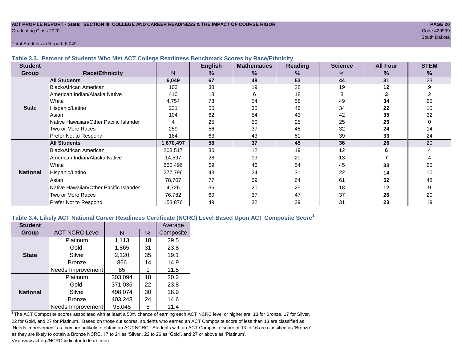#### **ACT PROFILE REPORT - State: SECTION III, COLLEGE AND CAREER READINESS & THE IMPACT OF COURSE RIGOR PAGE 20** Graduating Class 2020 Code 429999

#### South Dakota

#### Total Students in Report: 6,049

**Table 3.3. Percent of Students Who Met ACT College Readiness Benchmark Scores by Race/Ethnicity**

| <b>Student</b>  |                                        |           | <b>English</b> | <b>Mathematics</b> | Reading | <b>Science</b> | <b>All Four</b> | <b>STEM</b> |
|-----------------|----------------------------------------|-----------|----------------|--------------------|---------|----------------|-----------------|-------------|
| <b>Group</b>    | <b>Race/Ethnicity</b>                  | N         | $\%$           | %                  | %       | %              | %               | %           |
|                 | <b>All Students</b>                    | 6,049     | 67             | 48                 | 53      | 44             | 31              | 23          |
|                 | <b>Black/African American</b>          | 103       | 38             | 19                 | 28      | 19             | 12              |             |
|                 | American Indian/Alaska Native          | 410       | 18             | 6                  | 18      | 8              |                 |             |
|                 | White                                  | 4,754     | 73             | 54                 | 58      | 49             | 34              | 25          |
| <b>State</b>    | Hispanic/Latino                        | 231       | 55             | 35                 | 46      | 34             | 22              | 15          |
|                 | Asian                                  | 104       | 62             | 54                 | 43      | 42             | 35              | 32          |
|                 | Native Hawaiian/Other Pacific Islander | 4         | 25             | 50                 | 25      | 25             | 25              |             |
|                 | Two or More Races                      | 259       | 56             | 37                 | 45      | 32             | 24              | 14          |
|                 | Prefer Not to Respond                  | 184       | 63             | 43                 | 51      | 39             | 33              | 24          |
|                 | <b>All Students</b>                    | 1,670,497 | 58             | 37                 | 45      | 36             | 26              | 20          |
|                 | Black/African American                 | 203,517   | 30             | 12                 | 19      | 12             | 6               |             |
|                 | American Indian/Alaska Native          | 14,597    | 28             | 13                 | 20      | 13             |                 |             |
|                 | White                                  | 860,496   | 69             | 46                 | 54      | 45             | 33              | 25          |
| <b>National</b> | Hispanic/Latino                        | 277,796   | 43             | 24                 | 31      | 22             | 14              | 10          |
|                 | Asian                                  | 78,707    | 77             | 69                 | 64      | 61             | 52              | 48          |
|                 | Native Hawaiian/Other Pacific Islander | 4,726     | 35             | 20                 | 25      | 18             | 12              | 9           |
|                 | Two or More Races                      | 76,782    | 60             | 37                 | 47      | 37             | 26              | 20          |
|                 | Prefer Not to Respond                  | 153,876   | 49             | 32                 | 39      | 31             | 23              | 19          |

#### **Table 3.4. Likely ACT National Career Readiness Certificate (NCRC) Level Based Upon ACT Composite Score<sup>1</sup>**

| <b>Student</b>  |                       |         |      | Average   |
|-----------------|-----------------------|---------|------|-----------|
| Group           | <b>ACT NCRC Level</b> | N       | $\%$ | Composite |
|                 | Platinum              | 1,113   | 18   | 29.5      |
|                 | Gold                  | 1,865   | 31   | 23.8      |
| <b>State</b>    | Silver                | 2,120   | 35   | 19.1      |
|                 | <b>Bronze</b>         | 866     | 14   | 14.9      |
|                 | Needs Improvement     | 85      | 1    | 11.5      |
|                 | Platinum              | 303,094 | 18   | 30.2      |
|                 | Gold                  | 371,036 | 22   | 23.8      |
| <b>National</b> | Silver                | 498,074 | 30   | 18.9      |
|                 | <b>Bronze</b>         | 403,248 | 24   | 14.6      |
|                 | Needs Improvement     | 95,045  | 6    | 11.4      |

<sup>1</sup>The ACT Composite scores associated with at least a 50% chance of earning each ACT NCRC level or higher are: 13 for Bronze, 17 for Silver, 22 for Gold, and 27 for Platinum. Based on those cut scores, students who earned an ACT Composite score of less than 13 are classified as 'Needs improvement' as they are unlikely to obtain an ACT NCRC. Students with an ACT Composite score of 13 to 16 are classified as 'Bronze' as they are likely to obtain a Bronze NCRC, 17 to 21 as 'Silver', 22 to 26 as 'Gold', and 27 or above as 'Platinum'. Visit www.act.org/NCRC-indicator to learn more.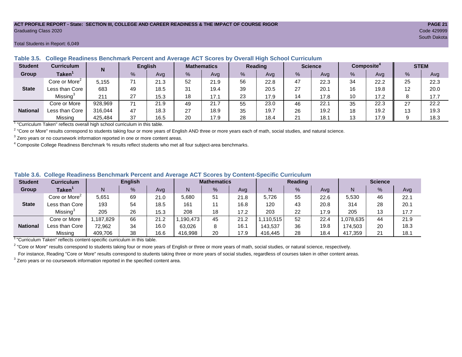#### **ACT PROFILE REPORT - State: SECTION III, COLLEGE AND CAREER READINESS & THE IMPACT OF COURSE RIGOR PAGE 21** Graduating Class 2020 Code 429999

#### Total Students in Report: 6,049

| <b>Student</b>  | <b>Curriculum</b>         | N       | <b>English</b> |      | <b>Mathematics</b> |      | <b>Reading</b> |      |    | <b>Science</b> | <b>Composite</b> |      | <b>STEM</b> |      |
|-----------------|---------------------------|---------|----------------|------|--------------------|------|----------------|------|----|----------------|------------------|------|-------------|------|
| <b>Group</b>    | <b>Taken</b>              |         | %              | Avg  | %                  | Avg  | %              | Avg  | %  | Avg            | %                | Avg  | %           | Avg  |
|                 | Core or More <sup>2</sup> | 5.155   |                | 21.3 | 52                 | 21.9 | 56             | 22.8 | 47 | 22.3           | 34               | 22.2 | 25          | 22.3 |
| State           | Less than Core            | 683     | 49             | 18.5 | 31                 | 19.4 | 39             | 20.5 | דה | 20.7           | 16               | 19.8 | 12          | 20.0 |
|                 | Missing <sup>®</sup>      | 211     | 27             | 15.3 | 18                 | 17.1 | 23             | 17.9 | 14 | 17.8           | 10               | 17.2 |             | 17.7 |
|                 | Core or More              | 928,969 | 71             | 21.9 | 49                 | 21.7 | 55             | 23.0 | 46 | 22.7           | 35               | 22.3 | דר          | 22.2 |
| <b>National</b> | Less than Core            | 316,044 | 47             | 18.3 | 27                 | 18.9 | 35             | 19.7 | 26 | 19.2           | 18               | 19.2 | 13          | 19.3 |
| $\sim$ $-$      | Missing                   | 425,484 | 37             | 16.5 | 20                 | 17.9 | 28             | 18.4 | 21 | 18.7           | 13               | 17.9 | ດ           | 18.3 |

South Dakota

#### **Table 3.5. College Readiness Benchmark Percent and Average ACT Scores by Overall High School Curriculum**

 $1$  "Curriculum Taken" reflects overall high school curriculum in this table.

<sup>2</sup> "Core or More" results correspond to students taking four or more years of English AND three or more years each of math, social studies, and natural science.

 $3$  Zero years or no coursework information reported in one or more content areas.

<sup>4</sup> Composite College Readiness Benchmark % results reflect students who met all four subject-area benchmarks.

#### **Table 3.6. College Readiness Benchmark Percent and Average ACT Scores by Content-Specific Curriculum**

| <b>Student</b>  | <b>Curriculum</b>         | <b>English</b> |    |      | . .      | <b>Mathematics</b> |      |           | <b>Reading</b> |      |           | <b>Science</b> |      |  |
|-----------------|---------------------------|----------------|----|------|----------|--------------------|------|-----------|----------------|------|-----------|----------------|------|--|
| <b>Group</b>    | <b>Taken</b>              | N              | %  | Avg  | N        | $\%$               | Avg  |           | %              | Avg  | N         | %              | Avg  |  |
|                 | Core or More <sup>2</sup> | 5,651          | 69 | 21.0 | 5.680    | 51                 | 21.8 | 5.726     | 55             | 22.6 | 5,530     | 46             | 22.1 |  |
| <b>State</b>    | Less than Core            | 193            | 54 | 18.5 | 161      |                    | 16.8 | 120       | 43             | 20.8 | 314       | 28             | 20.1 |  |
|                 | Missing <sup>3</sup>      | 205            | 26 | 15.3 | 208      | 18                 | 17.2 | 203       | 22             | 17.9 | 205       | 13             | 17.7 |  |
|                 | Core or More              | .187.829       | 66 | 21.2 | .190.473 | 45                 | 21.2 | 1,110,515 | 52             | 22.4 | 1,078,635 | 44             | 21.9 |  |
| <b>National</b> | Less than Core            | 72.962         | 34 | 16.0 | 63.026   |                    | 16.1 | 143,537   | 36             | 19.8 | 174.503   | 20             | 18.3 |  |
|                 | Missing                   | 409,706        | 38 | 16.6 | 416,998  | 20                 | 17.9 | 416,445   | 28             | 18.4 | 417,359   | 21             | 18.1 |  |

<sup>1</sup> "Curriculum Taken" reflects content-specific curriculum in this table.

<sup>2</sup> "Core or More" results correspond to students taking four or more years of English or three or more years of math, social studies, or natural science, respectively.

For instance, Reading "Core or More" results correspond to students taking three or more years of social studies, regardless of courses taken in other content areas.

 $3$  Zero years or no coursework information reported in the specified content area.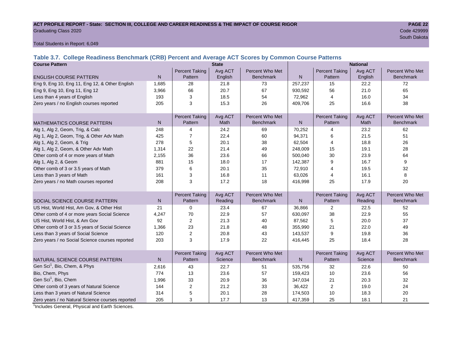#### **ACT PROFILE REPORT - State: SECTION III, COLLEGE AND CAREER READINESS & THE IMPACT OF COURSE RIGOR PAGE 22** Graduating Class 2020 Code 429999

South Dakota (1999) and the state of the state of the state of the state of the state of the South Dakota (199

Total Students in Report: 6,049

#### **Table 3.7. College Readiness Benchmark (CRB) Percent and Average ACT Scores by Common Course Patterns**

| <b>Course Pattern</b>                            |       |                       | <b>State</b> |                  |              | <b>National</b>       |         |                  |  |  |  |
|--------------------------------------------------|-------|-----------------------|--------------|------------------|--------------|-----------------------|---------|------------------|--|--|--|
|                                                  |       | <b>Percent Taking</b> | Avg ACT      | Percent Who Met  |              | <b>Percent Taking</b> | Avg ACT | Percent Who Met  |  |  |  |
| <b>ENGLISH COURSE PATTERN</b>                    | N.    | Pattern               | English      | <b>Benchmark</b> | $\mathsf{N}$ | Pattern               | English | <b>Benchmark</b> |  |  |  |
| Eng 9, Eng 10, Eng 11, Eng 12, & Other English   | 1,685 | 28                    | 21.8         | 73               | 257,237      | 15                    | 22.2    | 72               |  |  |  |
| Eng 9, Eng 10, Eng 11, Eng 12                    | 3,966 | 66                    | 20.7         | 67               | 930,592      | 56                    | 21.0    | 65               |  |  |  |
| Less than 4 years of English                     | 193   | 3                     | 18.5         | 54               | 72,962       | 4                     | 16.0    | 34               |  |  |  |
| Zero years / no English courses reported         | 205   | 3                     | 15.3         | 26               | 409,706      | 25                    | 16.6    | 38               |  |  |  |
|                                                  |       |                       |              |                  |              |                       |         |                  |  |  |  |
|                                                  |       | <b>Percent Taking</b> | Avg ACT      | Percent Who Met  |              | <b>Percent Taking</b> | Avg ACT | Percent Who Met  |  |  |  |
| <b>MATHEMATICS COURSE PATTERN</b>                | N     | Pattern               | Math         | <b>Benchmark</b> | $\mathsf{N}$ | Pattern               | Math    | <b>Benchmark</b> |  |  |  |
| Alg 1, Alg 2, Geom, Trig, & Calc                 | 248   | 4                     | 24.2         | 69               | 70,252       | 4                     | 23.2    | 62               |  |  |  |
| Alg 1, Alg 2, Geom, Trig, & Other Adv Math       | 425   | $\overline{7}$        | 22.4         | 60               | 94,371       | 6                     | 21.5    | 51               |  |  |  |
| Alg 1, Alg 2, Geom, & Trig                       | 278   | 5                     | 20.1         | 38               | 62,504       | 4                     | 18.8    | 26               |  |  |  |
| Alg 1, Alg 2, Geom, & Other Adv Math             | 1,314 | 22                    | 21.4         | 49               | 248,009      | 15                    | 19.1    | 28               |  |  |  |
| Other comb of 4 or more years of Math            | 2,155 | 36                    | 23.6         | 66               | 500,040      | 30                    | 23.9    | 64               |  |  |  |
| Alg 1, Alg 2, & Geom                             | 881   | 15                    | 18.0         | 17               | 142,387      | 9                     | 16.7    | 9                |  |  |  |
| Other comb of 3 or 3.5 years of Math             | 379   | 6                     | 20.1         | 35               | 72,910       | 4                     | 19.5    | 32               |  |  |  |
| Less than 3 years of Math                        | 161   | 3                     | 16.8         | 11               | 63,026       | 4                     | 16.1    | 8                |  |  |  |
| Zero years / no Math courses reported            | 208   | 3                     | 17.2         | 18               | 416,998      | 25                    | 17.9    | 20               |  |  |  |
|                                                  |       |                       |              |                  |              |                       |         |                  |  |  |  |
|                                                  |       | <b>Percent Taking</b> | Avg ACT      | Percent Who Met  |              | <b>Percent Taking</b> | Avg ACT | Percent Who Met  |  |  |  |
| SOCIAL SCIENCE COURSE PATTERN                    | N     | Pattern               | Reading      | <b>Benchmark</b> | $\mathsf{N}$ | Pattern               | Reading | <b>Benchmark</b> |  |  |  |
| US Hist, World Hist, Am Gov, & Other Hist        | 21    | 0                     | 23.4         | 67               | 36,866       | $\overline{2}$        | 22.5    | 52               |  |  |  |
| Other comb of 4 or more years Social Science     | 4,247 | 70                    | 22.9         | 57               | 630,097      | 38                    | 22.9    | 55               |  |  |  |
| US Hist, World Hist, & Am Gov                    | 92    | $\overline{2}$        | 21.3         | 40               | 87,562       | 5                     | 20.0    | 37               |  |  |  |
| Other comb of 3 or 3.5 years of Social Science   | 1,366 | 23                    | 21.8         | 48               | 355,990      | 21                    | 22.0    | 49               |  |  |  |
| Less than 3 years of Social Science              | 120   | 2                     | 20.8         | 43               | 143,537      | 9                     | 19.8    | 36               |  |  |  |
| Zero years / no Social Science courses reported  | 203   | 3                     | 17.9         | 22               | 416,445      | 25                    | 18.4    | 28               |  |  |  |
|                                                  |       |                       |              |                  |              |                       |         |                  |  |  |  |
|                                                  |       | <b>Percent Taking</b> | Avg ACT      | Percent Who Met  |              | <b>Percent Taking</b> | Avg ACT | Percent Who Met  |  |  |  |
| NATURAL SCIENCE COURSE PATTERN                   | N.    | Pattern               | Science      | <b>Benchmark</b> | N            | Pattern               | Science | <b>Benchmark</b> |  |  |  |
| Gen Sci <sup>1</sup> , Bio, Chem, & Phys         | 2,616 | 43                    | 22.7         | 51               | 535,756      | 32                    | 22.6    | 50               |  |  |  |
| Bio, Chem, Phys                                  | 774   | 13                    | 23.6         | 57               | 159,423      | 10                    | 23.6    | 56               |  |  |  |
| Gen Sci <sup>1</sup> , Bio, Chem                 | 1,996 | 33                    | 20.9         | 36               | 347,034      | 21                    | 20.3    | 32               |  |  |  |
| Other comb of 3 years of Natural Science         | 144   | $\overline{2}$        | 21.2         | 33               | 36,422       | 2                     | 19.0    | 24               |  |  |  |
| Less than 3 years of Natural Science             | 314   | 5                     | 20.1         | 28               | 174,503      | 10                    | 18.3    | 20               |  |  |  |
| Zero years / no Natural Science courses reported | 205   | 3                     | 17.7         | 13               | 417,359      | 25                    | 18.1    | 21               |  |  |  |

<sup>1</sup>Includes General, Physical and Earth Sciences.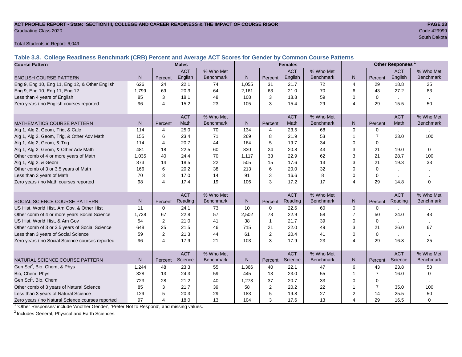#### **ACT PROFILE REPORT - State: SECTION III, COLLEGE AND CAREER READINESS & THE IMPACT OF COURSE RIGOR PAGE 23** Graduating Class 2020 Code 429999

South Dakota

#### Total Students in Report: 6,049

**Table 3.8. College Readiness Benchmark (CRB) Percent and Average ACT Scores for Gender by Common Course Patterns**

| <b>Course Pattern</b>                            |       |                         | <b>Males</b> |                  |              |                | <b>Females</b> |                  |                |                | Other Responses <sup>1</sup> |                  |
|--------------------------------------------------|-------|-------------------------|--------------|------------------|--------------|----------------|----------------|------------------|----------------|----------------|------------------------------|------------------|
|                                                  |       |                         | <b>ACT</b>   | % Who Met        |              |                | <b>ACT</b>     | % Who Met        |                |                | <b>ACT</b>                   | % Who Met        |
| <b>ENGLISH COURSE PATTERN</b>                    | N     | Percent                 | English      | <b>Benchmark</b> | $\mathsf{N}$ | Percent        | English        | <b>Benchmark</b> | N              | Percent        | English                      | <b>Benchmark</b> |
| Eng 9, Eng 10, Eng 11, Eng 12, & Other English   | 626   | 24                      | 22.1         | 74               | 1,055        | 31             | 21.7           | 72               | 4              | 29             | 18.8                         | 25               |
| Eng 9, Eng 10, Eng 11, Eng 12                    | 1,799 | 69                      | 20.3         | 64               | 2,161        | 63             | 21.0           | 70               | 6              | 43             | 27.2                         | 83               |
| Less than 4 years of English                     | 85    | 3                       | 18.1         | 48               | 108          | 3              | 18.8           | 59               | 0              | $\mathbf 0$    |                              |                  |
| Zero years / no English courses reported         | 96    | 4                       | 15.2         | 23               | 105          | 3              | 15.4           | 29               | 4              | 29             | 15.5                         | 50               |
|                                                  |       |                         | <b>ACT</b>   | % Who Met        |              |                | <b>ACT</b>     | % Who Met        |                |                | <b>ACT</b>                   | % Who Met        |
| <b>MATHEMATICS COURSE PATTERN</b>                | N     | Percent                 | Math         | <b>Benchmark</b> | N            | Percent        | Math           | <b>Benchmark</b> | N              | Percent        | Math                         | <b>Benchmark</b> |
| Alg 1, Alg 2, Geom, Trig, & Calc                 | 114   | 4                       | 25.0         | 70               | 134          | 4              | 23.5           | 68               | 0              | 0              |                              |                  |
| Alg 1, Alg 2, Geom, Trig, & Other Adv Math       | 155   | 6                       | 23.4         | 71               | 269          | 8              | 21.9           | 53               | 1              | $\overline{7}$ | 23.0                         | 100              |
| Alg 1, Alg 2, Geom, & Trig                       | 114   | 4                       | 20.7         | 44               | 164          | 5              | 19.7           | 34               | 0              | $\mathbf 0$    |                              |                  |
| Alg 1, Alg 2, Geom, & Other Adv Math             | 481   | 18                      | 22.5         | 60               | 830          | 24             | 20.8           | 43               | 3              | 21             | 19.0                         | $\mathbf 0$      |
| Other comb of 4 or more years of Math            | 1,035 | 40                      | 24.4         | 70               | 1,117        | 33             | 22.9           | 62               | 3              | 21             | 28.7                         | 100              |
| Alg 1, Alg 2, & Geom                             | 373   | 14                      | 18.5         | 22               | 505          | 15             | 17.6           | 13               | 3              | 21             | 19.3                         | 33               |
| Other comb of 3 or 3.5 years of Math             | 166   | 6                       | 20.2         | 38               | 213          | 6              | 20.0           | 32               | 0              | $\mathbf 0$    |                              |                  |
| Less than 3 years of Math                        | 70    | 3                       | 17.0         | 14               | 91           | 3              | 16.6           | 8                | 0              | $\mathbf 0$    |                              |                  |
| Zero years / no Math courses reported            | 98    | 4                       | 17.4         | 19               | 106          | 3              | 17.2           | 17               | 4              | 29             | 14.8                         | $\mathbf 0$      |
|                                                  |       |                         | <b>ACT</b>   | % Who Met        |              |                | <b>ACT</b>     | % Who Met        |                |                | <b>ACT</b>                   | % Who Met        |
| SOCIAL SCIENCE COURSE PATTERN                    | N     | Percent                 | Reading      | <b>Benchmark</b> | N.           | Percent        | Reading        | <b>Benchmark</b> | $\mathsf{N}$   | Percent        | Reading                      | <b>Benchmark</b> |
| US Hist, World Hist, Am Gov, & Other Hist        | 11    | $\mathbf 0$             | 24.1         | 73               | 10           | 0              | 22.6           | 60               | 0              | 0              |                              |                  |
| Other comb of 4 or more years Social Science     | 1,738 | 67                      | 22.8         | 57               | 2,502        | 73             | 22.9           | 58               | $\overline{7}$ | 50             | 24.0                         | 43               |
| US Hist, World Hist, & Am Gov                    | 54    | $\overline{2}$          | 21.0         | 41               | 38           | $\mathbf{1}$   | 21.7           | 39               | 0              | 0              |                              |                  |
| Other comb of 3 or 3.5 years of Social Science   | 648   | 25                      | 21.5         | 46               | 715          | 21             | 22.0           | 49               | 3              | 21             | 26.0                         | 67               |
| Less than 3 years of Social Science              | 59    | $\overline{2}$          | 21.3         | 44               | 61           | $\overline{2}$ | 20.4           | 41               | $\mathbf 0$    | $\mathbf 0$    |                              |                  |
| Zero years / no Social Science courses reported  | 96    | $\overline{\mathbf{4}}$ | 17.9         | 21               | 103          | 3              | 17.9           | 23               | $\overline{4}$ | 29             | 16.8                         | 25               |
|                                                  |       |                         | <b>ACT</b>   | % Who Met        |              |                | <b>ACT</b>     | % Who Met        |                |                | <b>ACT</b>                   | % Who Met        |
| NATURAL SCIENCE COURSE PATTERN                   | N     | Percent                 | Science      | <b>Benchmark</b> | N.           | Percent        | Science        | <b>Benchmark</b> | $\mathsf{N}$   | Percent        | Science                      | <b>Benchmark</b> |
| Gen Sci <sup>2</sup> , Bio, Chem, & Phys         | 1,244 | 48                      | 23.3         | 55               | 1,366        | 40             | 22.1           | 47               | 6              | 43             | 23.8                         | 50               |
| Bio, Chem, Phys                                  | 328   | 13                      | 24.3         | 59               | 445          | 13             | 23.0           | 55               |                | $\overline{7}$ | 16.0                         | $\mathbf 0$      |
| Gen Sci <sup>1</sup> , Bio, Chem                 | 723   | 28                      | 21.2         | 40               | 1,273        | 37             | 20.7           | 33               | 0              | $\mathbf 0$    |                              |                  |
| Other comb of 3 years of Natural Science         | 85    | 3                       | 21.7         | 39               | 58           | $\overline{2}$ | 20.2           | 22               |                | $\overline{7}$ | 35.0                         | 100              |
| Less than 3 years of Natural Science             | 129   | 5                       | 20.3         | 29               | 183          | 5              | 19.8           | 27               | 2              | 14             | 25.5                         | 50               |
| Zero years / no Natural Science courses reported | 97    | 4                       | 18.0         | 13               | 104          | 3              | 17.6           | 13               | 4              | 29             | 16.5                         | $\mathbf 0$      |

<sup>1</sup> 'Other Responses' include 'Another Gender', 'Prefer Not to Respond', and missing values.

 $2$  Includes General, Physical and Earth Sciences.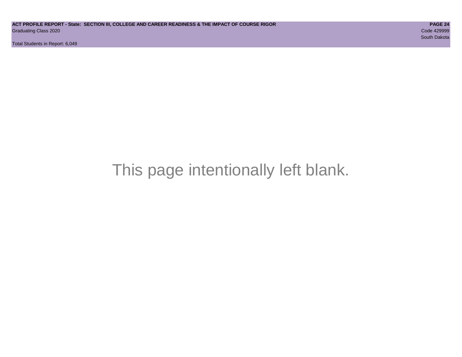## This page intentionally left blank.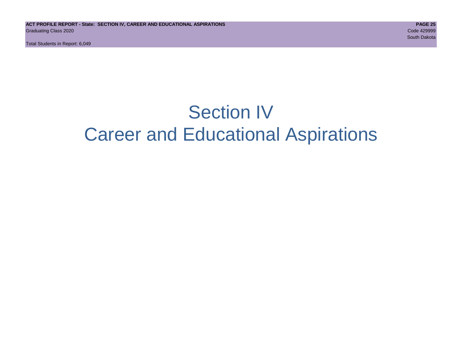# Section IV Career and Educational Aspirations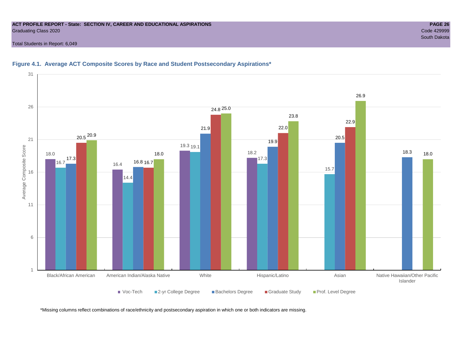#### **ACT PROFILE REPORT - State: SECTION IV, CAREER AND EDUCATIONAL ASPIRATIONS PAGE 26** Graduating Class 2020 Code 429999

#### Total Students in Report: 6,049





\*Missing columns reflect combinations of race/ethnicity and postsecondary aspiration in which one or both indicators are missing.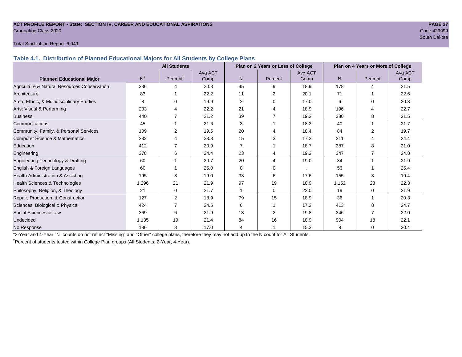#### **ACT PROFILE REPORT - State: SECTION IV, CAREER AND EDUCATIONAL ASPIRATIONS PAGE 27** Graduating Class 2020 Code 429999

## South Dakota

#### Total Students in Report: 6,049

**Table 4.1. Distribution of Planned Educational Majors for All Students by College Plans**

|                                              |                | <b>All Students</b>  |                 | Plan on 2 Years or Less of College |                       |                 | Plan on 4 Years or More of College |          |                 |  |
|----------------------------------------------|----------------|----------------------|-----------------|------------------------------------|-----------------------|-----------------|------------------------------------|----------|-----------------|--|
| <b>Planned Educational Major</b>             | N <sup>1</sup> | Percent <sup>2</sup> | Avg ACT<br>Comp | N                                  | Percent               | Avg ACT<br>Comp | N                                  | Percent  | Avg ACT<br>Comp |  |
| Agriculture & Natural Resources Conservation | 236            | $\Lambda$            | 20.8            | 45                                 | 9                     | 18.9            | 178                                |          | 21.5            |  |
| Architecture                                 | 83             |                      | 22.2            | 11                                 | 2                     | 20.1            | 71                                 |          | 22.6            |  |
| Area, Ethnic, & Multidisciplinary Studies    | 8              | $\Omega$             | 19.9            | 2                                  | $\Omega$              | 17.0            | 6                                  | $\Omega$ | 20.8            |  |
| Arts: Visual & Performing                    | 233            |                      | 22.2            | 21                                 | $\boldsymbol{\Delta}$ | 18.9            | 196                                |          | 22.7            |  |
| <b>Business</b>                              | 440            |                      | 21.2            | 39                                 |                       | 19.2            | 380                                | 8        | 21.5            |  |
| Communications                               | 45             |                      | 21.6            | 3                                  | 1                     | 18.3            | 40                                 |          | 21.7            |  |
| Community, Family, & Personal Services       | 109            | 2                    | 19.5            | 20                                 | Δ                     | 18.4            | 84                                 | 2        | 19.7            |  |
| <b>Computer Science &amp; Mathematics</b>    | 232            |                      | 23.8            | 15                                 | 3                     | 17.3            | 211                                |          | 24.4            |  |
| Education                                    | 412            |                      | 20.9            | 7                                  |                       | 18.7            | 387                                | 8        | 21.0            |  |
| Engineering                                  | 378            | 6                    | 24.4            | 23                                 | 4                     | 19.2            | 347                                | 7        | 24.8            |  |
| Engineering Technology & Drafting            | 60             |                      | 20.7            | 20                                 | $\overline{4}$        | 19.0            | 34                                 |          | 21.9            |  |
| English & Foreign Languages                  | 60             |                      | 25.0            | $\Omega$                           | $\Omega$              |                 | 56                                 |          | 25.4            |  |
| Health Administration & Assisting            | 195            | 3                    | 19.0            | 33                                 | 6                     | 17.6            | 155                                | 3        | 19.4            |  |
| Health Sciences & Technologies               | 1,296          | 21                   | 21.9            | 97                                 | 19                    | 18.9            | 1,152                              | 23       | 22.3            |  |
| Philosophy, Religion, & Theology             | 21             | $\Omega$             | 21.7            |                                    | $\Omega$              | 22.0            | 19                                 | $\Omega$ | 21.9            |  |
| Repair, Production, & Construction           | 127            | 2                    | 18.9            | 79                                 | 15                    | 18.9            | 36                                 |          | 20.3            |  |
| Sciences: Biological & Physical              | 424            |                      | 24.5            | 6                                  |                       | 17.2            | 413                                | 8        | 24.7            |  |
| Social Sciences & Law                        | 369            | 6                    | 21.9            | 13                                 | $\overline{2}$        | 19.8            | 346                                |          | 22.0            |  |
| Undecided                                    | 1,135          | 19                   | 21.4            | 84                                 | 16                    | 18.9            | 904                                | 18       | 22.1            |  |
| No Response                                  | 186            | 3                    | 17.0            | 4                                  |                       | 15.3            | 9                                  | 0        | 20.4            |  |

1 2-Year and 4-Year "N" counts do not reflect "Missing" and "Other" college plans, therefore they may not add up to the N count for All Students.

<sup>2</sup> Percent of students tested within College Plan groups (All Students, 2-Year, 4-Year).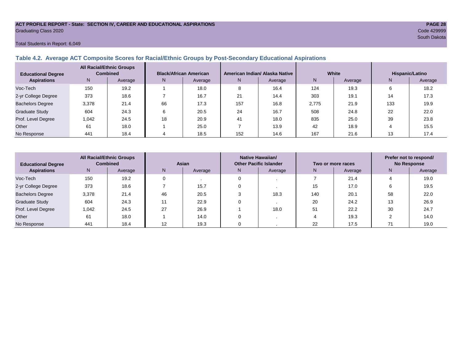#### **ACT PROFILE REPORT - State: SECTION IV, CAREER AND EDUCATIONAL ASPIRATIONS PAGE 28** Graduating Class 2020 Code 429999

#### Total Students in Report: 6,049

**Table 4.2. Average ACT Composite Scores for Racial/Ethnic Groups by Post-Secondary Educational Aspirations**

| <b>Educational Degree</b> | <b>All Racial/Ethnic Groups</b><br><b>Combined</b> |         | <b>Black/African American</b> |         | American Indian/ Alaska Native |         | White |         | Hispanic/Latino |         |  |
|---------------------------|----------------------------------------------------|---------|-------------------------------|---------|--------------------------------|---------|-------|---------|-----------------|---------|--|
| <b>Aspirations</b>        | N                                                  | Average | N.                            | Average | N                              | Average | N     | Average | N.              | Average |  |
| Voc-Tech                  | 150                                                | 19.2    |                               | 18.0    |                                | 16.4    | 124   | 19.3    | 6               | 18.2    |  |
| 2-yr College Degree       | 373                                                | 18.6    |                               | 16.7    | 21                             | 14.4    | 303   | 19.1    | 14              | 17.3    |  |
| <b>Bachelors Degree</b>   | 3,378                                              | 21.4    | 66                            | 17.3    | 157                            | 16.8    | 2,775 | 21.9    | 133             | 19.9    |  |
| <b>Graduate Study</b>     | 604                                                | 24.3    | 6                             | 20.5    | 24                             | 16.7    | 508   | 24.8    | 22              | 22.0    |  |
| Prof. Level Degree        | 1,042                                              | 24.5    | 18                            | 20.9    | 41                             | 18.0    | 835   | 25.0    | 39              | 23.8    |  |
| Other                     | 61                                                 | 18.0    |                               | 25.0    |                                | 13.9    | 42    | 18.9    |                 | 15.5    |  |
| No Response               | 441                                                | 18.4    |                               | 18.5    | 152                            | 14.6    | 167   | 21.6    | 13              | 17.4    |  |

| <b>All Racial/Ethnic Groups</b><br><b>Combined</b><br><b>Educational Degree</b> |       | <b>Asian</b> |              | Native Hawaiian/<br><b>Other Pacific Islander</b> |    | Two or more races |     | Prefer not to respond/<br><b>No Response</b> |    |         |
|---------------------------------------------------------------------------------|-------|--------------|--------------|---------------------------------------------------|----|-------------------|-----|----------------------------------------------|----|---------|
| <b>Aspirations</b>                                                              | N     | Average      | $\mathsf{N}$ | Average                                           | N. | Average           | N.  | Average                                      | N  | Average |
| Voc-Tech                                                                        | 150   | 19.2         | $\Omega$     |                                                   |    |                   |     | 21.4                                         |    | 19.0    |
| 2-yr College Degree                                                             | 373   | 18.6         |              | 15.7                                              |    |                   | 15  | 17.0                                         | 6  | 19.5    |
| <b>Bachelors Degree</b>                                                         | 3,378 | 21.4         | 46           | 20.5                                              |    | 18.3              | 140 | 20.1                                         | 58 | 22.0    |
| <b>Graduate Study</b>                                                           | 604   | 24.3         | 11           | 22.9                                              |    |                   | 20  | 24.2                                         | 13 | 26.9    |
| Prof. Level Degree                                                              | 1,042 | 24.5         | 27           | 26.9                                              |    | 18.0              | 51  | 22.2                                         | 30 | 24.7    |
| Other                                                                           | 61    | 18.0         |              | 14.0                                              |    |                   |     | 19.3                                         |    | 14.0    |
| No Response                                                                     | 441   | 18.4         | 12           | 19.3                                              |    |                   | 22  | 17.5                                         |    | 19.0    |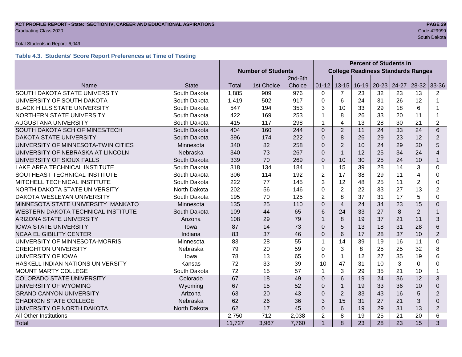### **ACT PROFILE REPORT - State: SECTION IV, CAREER AND EDUCATIONAL ASPIRATIONS PAGE 29** Graduating Class 2020 Code 429999

#### Total Students in Report: 6,049

#### **Table 4.3. Students' Score Report Preferences at Time of Testing**

|                                     |              |        |                           | <b>Percent of Students in</b> |                                           |                |           |           |       |                |                         |
|-------------------------------------|--------------|--------|---------------------------|-------------------------------|-------------------------------------------|----------------|-----------|-----------|-------|----------------|-------------------------|
|                                     |              |        | <b>Number of Students</b> |                               | <b>College Readiness Standards Ranges</b> |                |           |           |       |                |                         |
|                                     |              |        |                           | 2nd-6th                       |                                           |                |           |           |       |                |                         |
| Name                                | <b>State</b> | Total  | 1st Choice                | Choice                        | $01 - 12$                                 | $13 - 15$      | $16 - 19$ | $20 - 23$ | 24-27 | $28 - 32$      | 33-36                   |
| SOUTH DAKOTA STATE UNIVERSITY       | South Dakota | 1,885  | 909                       | 976                           | $\Omega$                                  | 7              | 23        | 32        | 23    | 13             | 2                       |
| UNIVERSITY OF SOUTH DAKOTA          | South Dakota | 1,419  | 502                       | 917                           | $\Omega$                                  | 6              | 24        | 31        | 26    | 12             | $\mathbf{1}$            |
| <b>BLACK HILLS STATE UNIVERSITY</b> | South Dakota | 547    | 194                       | 353                           | 3                                         | 10             | 33        | 29        | 18    | 6              |                         |
| NORTHERN STATE UNIVERSITY           | South Dakota | 422    | 169                       | 253                           | 1                                         | 8              | 26        | 33        | 20    | 11             | 1                       |
| <b>AUGUSTANA UNIVERSITY</b>         | South Dakota | 415    | 117                       | 298                           | 1                                         | $\overline{4}$ | 13        | 28        | 30    | 21             | 2                       |
| SOUTH DAKOTA SCH OF MINES/TECH      | South Dakota | 404    | 160                       | 244                           | $\Omega$                                  | $\overline{2}$ | 11        | 24        | 33    | 24             | 6                       |
| <b>DAKOTA STATE UNIVERSITY</b>      | South Dakota | 396    | 174                       | 222                           | $\Omega$                                  | 8              | 26        | 29        | 23    | 12             | $\overline{2}$          |
| UNIVERSITY OF MINNESOTA-TWIN CITIES | Minnesota    | 340    | 82                        | 258                           | $\Omega$                                  | $\overline{2}$ | 10        | 24        | 29    | 30             | 5                       |
| UNIVERSITY OF NEBRASKA AT LINCOLN   | Nebraska     | 340    | 73                        | 267                           | $\Omega$                                  | $\mathbf{1}$   | 12        | 25        | 34    | 24             | $\overline{\mathbf{4}}$ |
| UNIVERSITY OF SIOUX FALLS           | South Dakota | 339    | 70                        | 269                           | $\overline{0}$                            | 10             | 30        | 25        | 24    | 10             | $\mathbf{1}$            |
| LAKE AREA TECHNICAL INSTITUTE       | South Dakota | 318    | 134                       | 184                           | $\mathbf{1}$                              | 15             | 39        | 28        | 14    | 3              | $\mathbf 0$             |
| SOUTHEAST TECHNICAL INSTITUTE       | South Dakota | 306    | 114                       | 192                           | $\overline{2}$                            | 17             | 38        | 29        | 11    | 4              | 0                       |
| MITCHELL TECHNICAL INSTITUTE        | South Dakota | 222    | 77                        | 145                           | 3                                         | 12             | 48        | 25        | 11    | $\overline{2}$ | 0                       |
| NORTH DAKOTA STATE UNIVERSITY       | North Dakota | 202    | 56                        | 146                           | 0                                         | $\overline{2}$ | 22        | 33        | 27    | 13             | $\overline{2}$          |
| DAKOTA WESLEYAN UNIVERSITY          | South Dakota | 195    | 70                        | 125                           | $\overline{2}$                            | 8              | 37        | 31        | 17    | 5              | 0                       |
| MINNESOTA STATE UNIVERSITY MANKATO  | Minnesota    | 135    | 25                        | 110                           | $\Omega$                                  | $\overline{4}$ | 24        | 34        | 23    | 15             | $\overline{0}$          |
| WESTERN DAKOTA TECHNICAL INSTITUTE  | South Dakota | 109    | 44                        | 65                            | 6                                         | 24             | 33        | 27        | 8     | 2              | $\mathbf{1}$            |
| <b>ARIZONA STATE UNIVERSITY</b>     | Arizona      | 108    | 29                        | 79                            | $\mathbf{1}$                              | 8              | 19        | 37        | 21    | 11             | 3                       |
| <b>IOWA STATE UNIVERSITY</b>        | lowa         | 87     | 14                        | 73                            | $\Omega$                                  | 5              | 13        | 18        | 31    | 28             | 6                       |
| <b>NCAA ELIGIBILITY CENTER</b>      | Indiana      | 83     | 37                        | 46                            | $\overline{0}$                            | 6              | 17        | 28        | 37    | 10             | $\overline{2}$          |
| UNIVERSITY OF MINNESOTA-MORRIS      | Minnesota    | 83     | 28                        | 55                            | $\mathbf{1}$                              | 14             | 39        | 19        | 16    | 11             | $\mathbf 0$             |
| <b>CREIGHTON UNIVERSITY</b>         | Nebraska     | 79     | 20                        | 59                            | $\Omega$                                  | 3              | 8         | 25        | 25    | 32             | 8                       |
| UNIVERSITY OF IOWA                  | lowa         | 78     | 13                        | 65                            | 0                                         | $\mathbf{1}$   | 12        | 27        | 35    | 19             | 6                       |
| HASKELL INDIAN NATIONS UNIVERSITY   | Kansas       | 72     | 33                        | 39                            | 10                                        | 47             | 31        | 10        | 3     | $\Omega$       | 0                       |
| <b>MOUNT MARTY COLLEGE</b>          | South Dakota | 72     | 15                        | 57                            | $\mathbf{1}$                              | 3              | 29        | 35        | 21    | 10             | 1                       |
| <b>COLORADO STATE UNIVERSITY</b>    | Colorado     | 67     | 18                        | 49                            | $\Omega$                                  | 6              | 19        | 24        | 36    | 12             | 3                       |
| UNIVERSITY OF WYOMING               | Wyoming      | 67     | 15                        | 52                            | $\Omega$                                  | $\mathbf{1}$   | 19        | 33        | 36    | 10             | 0                       |
| <b>GRAND CANYON UNIVERSITY</b>      | Arizona      | 63     | 20                        | 43                            | $\Omega$                                  | $\overline{2}$ | 33        | 43        | 16    | 5              | $\overline{2}$          |
| <b>CHADRON STATE COLLEGE</b>        | Nebraska     | 62     | 26                        | 36                            | 3                                         | 15             | 31        | 27        | 21    | 3              | 0                       |
| UNIVERSITY OF NORTH DAKOTA          | North Dakota | 62     | 17                        | 45                            | $\Omega$                                  | 6              | 19        | 29        | 31    | 13             | $\overline{2}$          |
| <b>All Other Institutions</b>       |              | 2,750  | 712                       | 2,038                         | $\overline{2}$                            | 8              | 19        | 25        | 21    | 20             | 6                       |
| <b>Total</b>                        |              | 11,727 | 3,967                     | 7,760                         | 1                                         | 8              | 23        | 28        | 23    | 15             | 3                       |

South Dakota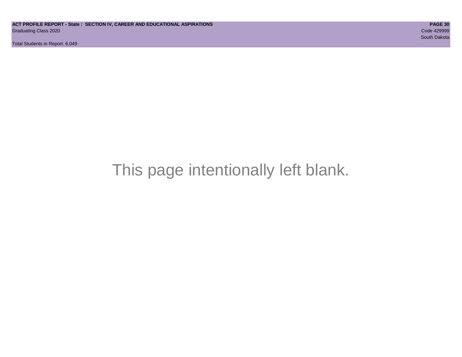**ACT PROFILE REPORT - State : SECTION IV, CAREER AND EDUCATIONAL ASPIRATIONS PAGE 30** Graduating Class 2020 Code 429999

Total Students in Report: 6,049

## This page intentionally left blank.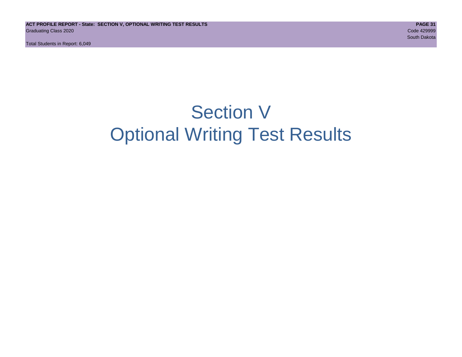# Section V Optional Writing Test Results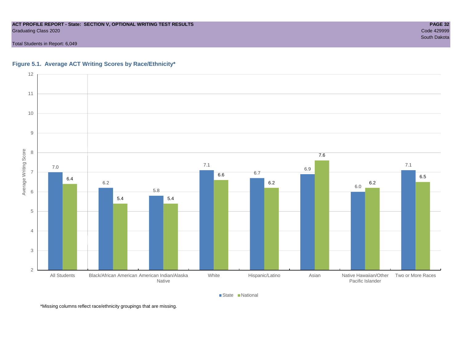#### **ACT PROFILE REPORT - State: SECTION V, OPTIONAL WRITING TEST RESULTS PAGE 32** Graduating Class 2020 Code 429999

Total Students in Report: 6,049

#### **Figure 5.1. Average ACT Writing Scores by Race/Ethnicity\***



■State ■National

\*Missing columns reflect race/ethnicity groupings that are missing.